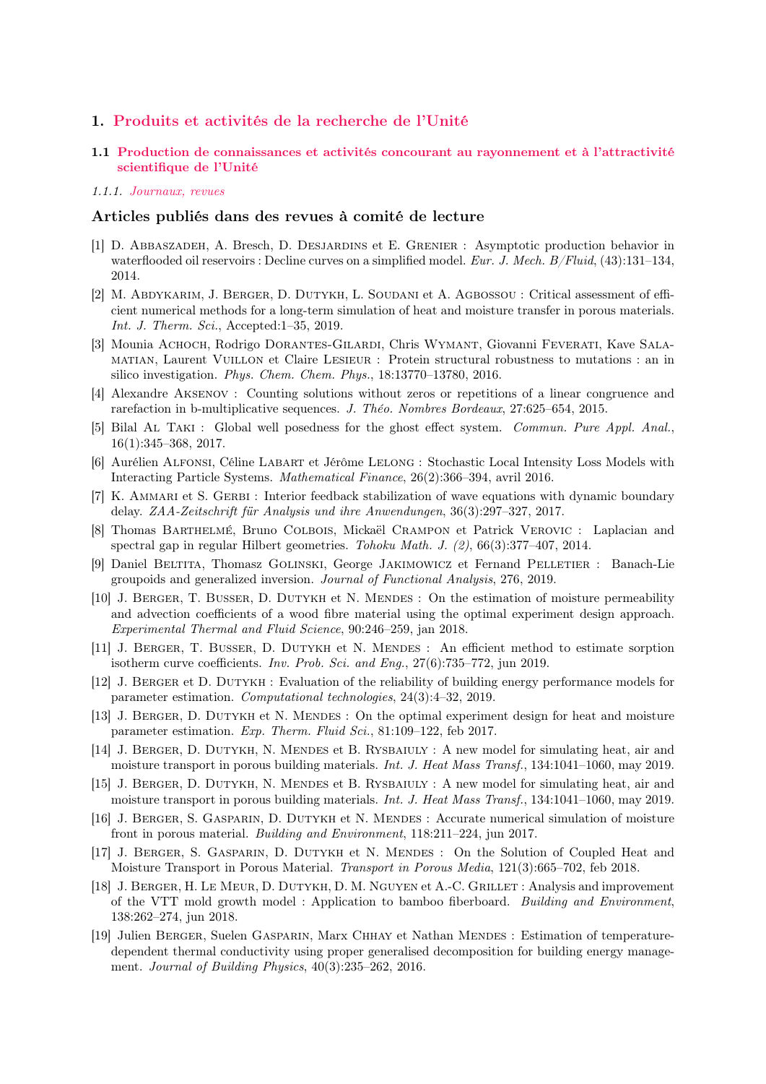# 1. Produits et activités de la recherche de l'Unité

1.1 Production de connaissances et activités concourant au rayonnement et à l'attractivité scientifique de l'Unité

#### 1.1.1. Journaux, revues

# Articles publiés dans des revues à comité de lecture

- [1] D. Abbaszadeh, A. Bresch, D. Desjardins et E. Grenier : Asymptotic production behavior in waterflooded oil reservoirs : Decline curves on a simplified model. Eur. J. Mech. B/Fluid, (43):131–134, 2014.
- [2] M. Abdykarim, J. Berger, D. Dutykh, L. Soudani et A. Agbossou : Critical assessment of efficient numerical methods for a long-term simulation of heat and moisture transfer in porous materials. Int. J. Therm. Sci., Accepted:1–35, 2019.
- [3] Mounia Achoch, Rodrigo Dorantes-Gilardi, Chris Wymant, Giovanni Feverati, Kave Salamatian, Laurent Vuillon et Claire Lesieur : Protein structural robustness to mutations : an in silico investigation. Phys. Chem. Chem. Phys., 18:13770–13780, 2016.
- [4] Alexandre Aksenov : Counting solutions without zeros or repetitions of a linear congruence and rarefaction in b-multiplicative sequences. J. Théo. Nombres Bordeaux, 27:625–654, 2015.
- [5] Bilal Al Taki : Global well posedness for the ghost effect system. Commun. Pure Appl. Anal., 16(1):345–368, 2017.
- [6] Aurélien Alfonsi, Céline Labart et Jérôme Lelong : Stochastic Local Intensity Loss Models with Interacting Particle Systems. Mathematical Finance, 26(2):366–394, avril 2016.
- [7] K. AMMARI et S. GERBI : Interior feedback stabilization of wave equations with dynamic boundary delay. ZAA-Zeitschrift für Analysis und ihre Anwendungen, 36(3):297–327, 2017.
- [8] Thomas Barthelmé, Bruno Colbois, Mickaël Crampon et Patrick Verovic : Laplacian and spectral gap in regular Hilbert geometries. Tohoku Math. J. (2), 66(3):377–407, 2014.
- [9] Daniel Beltita, Thomasz Golinski, George Jakimowicz et Fernand Pelletier : Banach-Lie groupoids and generalized inversion. Journal of Functional Analysis, 276, 2019.
- [10] J. BERGER, T. BUSSER, D. DUTYKH et N. MENDES : On the estimation of moisture permeability and advection coefficients of a wood fibre material using the optimal experiment design approach. Experimental Thermal and Fluid Science, 90:246–259, jan 2018.
- [11] J. BERGER, T. BUSSER, D. DUTYKH et N. MENDES : An efficient method to estimate sorption isotherm curve coefficients. Inv. Prob. Sci. and Eng., 27(6):735–772, jun 2019.
- [12] J. Berger et D. Dutykh : Evaluation of the reliability of building energy performance models for parameter estimation. Computational technologies, 24(3):4–32, 2019.
- [13] J. BERGER, D. DUTYKH et N. MENDES : On the optimal experiment design for heat and moisture parameter estimation. Exp. Therm. Fluid Sci., 81:109–122, feb 2017.
- [14] J. BERGER, D. DUTYKH, N. MENDES et B. RYSBAIULY : A new model for simulating heat, air and moisture transport in porous building materials. Int. J. Heat Mass Transf., 134:1041-1060, may 2019.
- [15] J. BERGER, D. DUTYKH, N. MENDES et B. RYSBAIULY : A new model for simulating heat, air and moisture transport in porous building materials. Int. J. Heat Mass Transf., 134:1041–1060, may 2019.
- [16] J. BERGER, S. GASPARIN, D. DUTYKH et N. MENDES : Accurate numerical simulation of moisture front in porous material. Building and Environment, 118:211–224, jun 2017.
- [17] J. BERGER, S. GASPARIN, D. DUTYKH et N. MENDES : On the Solution of Coupled Heat and Moisture Transport in Porous Material. Transport in Porous Media, 121(3):665–702, feb 2018.
- [18] J. BERGER, H. LE MEUR, D. DUTYKH, D. M. NGUYEN et A.-C. GRILLET : Analysis and improvement of the VTT mold growth model : Application to bamboo fiberboard. Building and Environment, 138:262–274, jun 2018.
- [19] Julien BERGER, Suelen GASPARIN, Marx CHHAY et Nathan MENDES : Estimation of temperaturedependent thermal conductivity using proper generalised decomposition for building energy management. Journal of Building Physics, 40(3):235–262, 2016.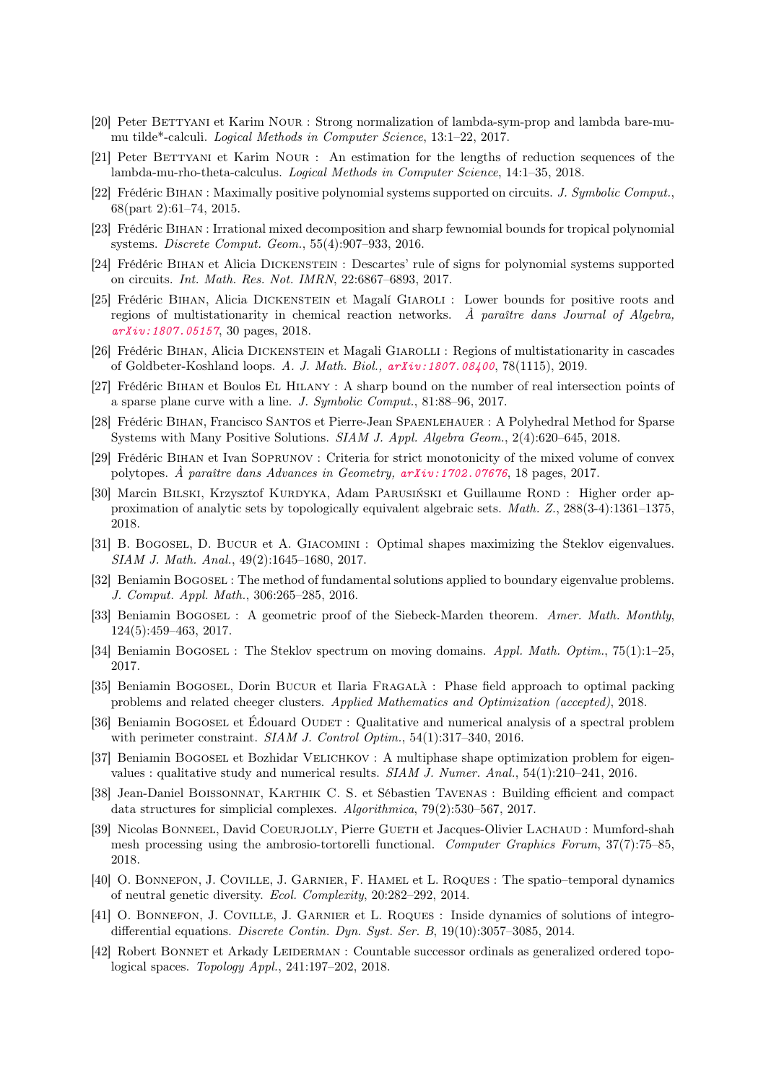- [20] Peter BETTYANI et Karim NOUR : Strong normalization of lambda-sym-prop and lambda bare-mumu tilde\*-calculi. Logical Methods in Computer Science, 13:1–22, 2017.
- [21] Peter BETTYANI et Karim NOUR : An estimation for the lengths of reduction sequences of the lambda-mu-rho-theta-calculus. Logical Methods in Computer Science, 14:1–35, 2018.
- [22] Frédéric Bihan : Maximally positive polynomial systems supported on circuits. J. Symbolic Comput., 68(part 2):61–74, 2015.
- [23] Frédéric Bihan : Irrational mixed decomposition and sharp fewnomial bounds for tropical polynomial systems. Discrete Comput. Geom., 55(4):907–933, 2016.
- [24] Frédéric Bihan et Alicia Dickenstein : Descartes' rule of signs for polynomial systems supported on circuits. Int. Math. Res. Not. IMRN, 22:6867–6893, 2017.
- [25] Frédéric Bihan, Alicia Dickenstein et Magalí Giaroli : Lower bounds for positive roots and regions of multistationarity in chemical reaction networks.  $\hat{A}$  paraître dans Journal of Algebra, [arXiv:1807.05157](https://arxiv.org/abs/1807.05157), 30 pages, 2018.
- [26] Frédéric Bihan, Alicia Dickenstein et Magali Giarolli : Regions of multistationarity in cascades of Goldbeter-Koshland loops. A. J. Math. Biol., [arXiv:1807.08400](https://arxiv.org/abs/1807.08400), 78(1115), 2019.
- [27] Frédéric Bihan et Boulos El Hilany : A sharp bound on the number of real intersection points of a sparse plane curve with a line. J. Symbolic Comput., 81:88–96, 2017.
- [28] Frédéric Bihan, Francisco Santos et Pierre-Jean Spaenlehauer : A Polyhedral Method for Sparse Systems with Many Positive Solutions. SIAM J. Appl. Algebra Geom., 2(4):620–645, 2018.
- [29] Frédéric Bihan et Ivan Soprunov : Criteria for strict monotonicity of the mixed volume of convex polytopes. À paraître dans Advances in Geometry, [arXiv:1702.07676](https://arxiv.org/abs/1702.07676), 18 pages, 2017.
- [30] Marcin BILSKI, Krzysztof KURDYKA, Adam PARUSIŃSKI et Guillaume ROND : Higher order approximation of analytic sets by topologically equivalent algebraic sets. Math. Z., 288(3-4):1361–1375, 2018.
- [31] B. Bogosel, D. Bucur et A. Giacomini : Optimal shapes maximizing the Steklov eigenvalues. SIAM J. Math. Anal., 49(2):1645–1680, 2017.
- [32] Beniamin Bogosel : The method of fundamental solutions applied to boundary eigenvalue problems. J. Comput. Appl. Math., 306:265–285, 2016.
- [33] Beniamin BOGOSEL : A geometric proof of the Siebeck-Marden theorem. Amer. Math. Monthly, 124(5):459–463, 2017.
- [34] Beniamin BOGOSEL : The Steklov spectrum on moving domains. Appl. Math. Optim., 75(1):1–25, 2017.
- [35] Beniamin BOGOSEL, Dorin BUCUR et Ilaria FRAGALÀ : Phase field approach to optimal packing problems and related cheeger clusters. Applied Mathematics and Optimization (accepted), 2018.
- [36] Beniamin BOGOSEL et Édouard OUDET : Qualitative and numerical analysis of a spectral problem with perimeter constraint. SIAM J. Control Optim., 54(1):317-340, 2016.
- [37] Beniamin BOGOSEL et Bozhidar VELICHKOV : A multiphase shape optimization problem for eigenvalues : qualitative study and numerical results. SIAM J. Numer. Anal., 54(1):210–241, 2016.
- [38] Jean-Daniel Boissonnat, Karthik C. S. et Sébastien Tavenas : Building efficient and compact data structures for simplicial complexes. Algorithmica, 79(2):530–567, 2017.
- [39] Nicolas Bonneel, David Coeurjolly, Pierre Gueth et Jacques-Olivier Lachaud : Mumford-shah mesh processing using the ambrosio-tortorelli functional. Computer Graphics Forum, 37(7):75–85, 2018.
- [40] O. Bonnefon, J. Coville, J. Garnier, F. Hamel et L. Roques : The spatio–temporal dynamics of neutral genetic diversity. Ecol. Complexity, 20:282–292, 2014.
- [41] O. Bonnefon, J. Coville, J. Garnier et L. Roques : Inside dynamics of solutions of integrodifferential equations. Discrete Contin. Dyn. Syst. Ser. B, 19(10):3057–3085, 2014.
- [42] Robert BONNET et Arkady LEIDERMAN : Countable successor ordinals as generalized ordered topological spaces. Topology Appl., 241:197–202, 2018.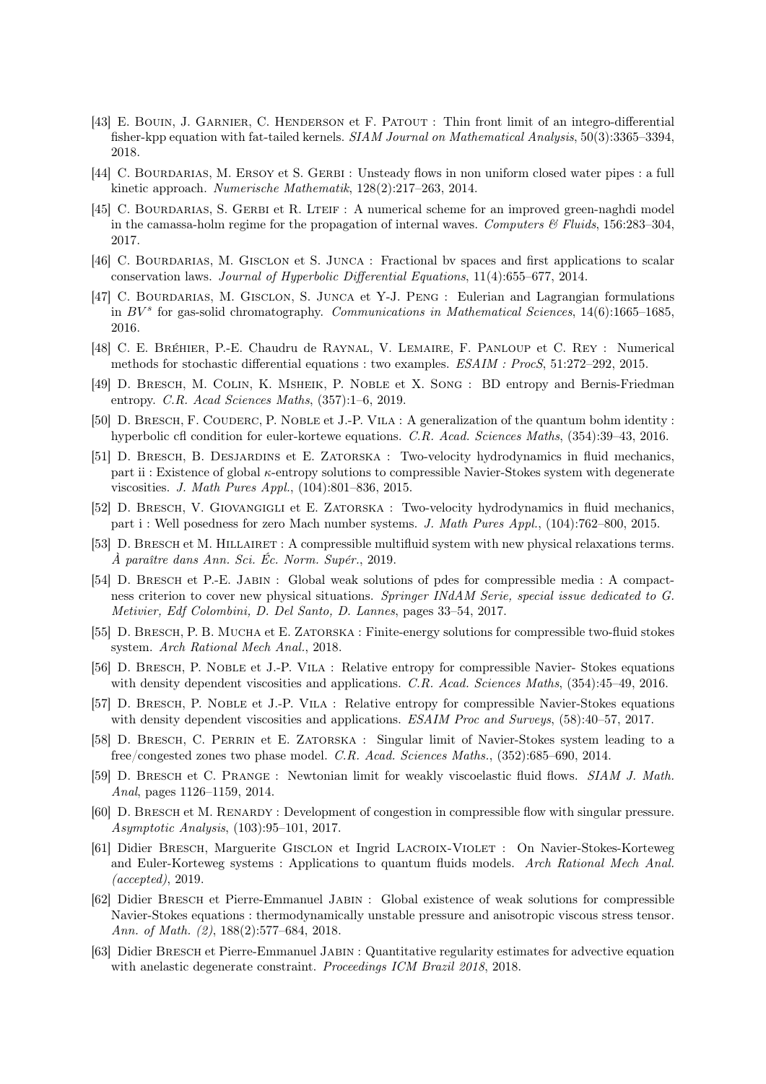- [43] E. Bouin, J. Garnier, C. Henderson et F. Patout : Thin front limit of an integro-differential fisher-kpp equation with fat-tailed kernels. *SIAM Journal on Mathematical Analysis*, 50(3):3365–3394, 2018.
- [44] C. BOURDARIAS, M. ERSOY et S. GERBI : Unsteady flows in non uniform closed water pipes : a full kinetic approach. Numerische Mathematik, 128(2):217–263, 2014.
- [45] C. BOURDARIAS, S. GERBI et R. LTEIF : A numerical scheme for an improved green-naghdi model in the camassa-holm regime for the propagation of internal waves. Computers  $\mathscr{C}$  Fluids, 156:283–304, 2017.
- [46] C. BOURDARIAS, M. GISCLON et S. JUNCA : Fractional by spaces and first applications to scalar conservation laws. Journal of Hyperbolic Differential Equations, 11(4):655–677, 2014.
- [47] C. BOURDARIAS, M. GISCLON, S. JUNCA et Y-J. PENG : Eulerian and Lagrangian formulations in  $BV^s$  for gas-solid chromatography. Communications in Mathematical Sciences, 14(6):1665–1685, 2016.
- [48] C. E. Bréhier, P.-E. Chaudru de Raynal, V. Lemaire, F. Panloup et C. Rey : Numerical methods for stochastic differential equations : two examples. ESAIM : ProcS, 51:272–292, 2015.
- [49] D. Bresch, M. Colin, K. Msheik, P. Noble et X. Song : BD entropy and Bernis-Friedman entropy. C.R. Acad Sciences Maths, (357):1–6, 2019.
- [50] D. BRESCH, F. COUDERC, P. NOBLE et J.-P. VILA : A generalization of the quantum bohm identity : hyperbolic cfl condition for euler-kortewe equations. C.R. Acad. Sciences Maths, (354):39–43, 2016.
- [51] D. Bresch, B. Desjardins et E. Zatorska : Two-velocity hydrodynamics in fluid mechanics, part ii : Existence of global κ-entropy solutions to compressible Navier-Stokes system with degenerate viscosities. J. Math Pures Appl., (104):801–836, 2015.
- [52] D. Bresch, V. Giovangigli et E. Zatorska : Two-velocity hydrodynamics in fluid mechanics, part i : Well posedness for zero Mach number systems. J. Math Pures Appl., (104):762–800, 2015.
- [53] D. BRESCH et M. HILLAIRET : A compressible multifluid system with new physical relaxations terms. À paraître dans Ann. Sci. Éc. Norm. Supér., 2019.
- [54] D. Bresch et P.-E. Jabin : Global weak solutions of pdes for compressible media : A compactness criterion to cover new physical situations. Springer INdAM Serie, special issue dedicated to G. Metivier, Edf Colombini, D. Del Santo, D. Lannes, pages 33–54, 2017.
- [55] D. Bresch, P. B. Mucha et E. Zatorska : Finite-energy solutions for compressible two-fluid stokes system. Arch Rational Mech Anal., 2018.
- [56] D. Bresch, P. Noble et J.-P. Vila : Relative entropy for compressible Navier- Stokes equations with density dependent viscosities and applications. C.R. Acad. Sciences Maths,  $(354):45-49, 2016$ .
- [57] D. Bresch, P. Noble et J.-P. Vila : Relative entropy for compressible Navier-Stokes equations with density dependent viscosities and applications. *ESAIM Proc and Surveys*,  $(58):40-57, 2017$ .
- [58] D. Bresch, C. Perrin et E. Zatorska : Singular limit of Navier-Stokes system leading to a free/congested zones two phase model. C.R. Acad. Sciences Maths., (352):685–690, 2014.
- [59] D. Bresch et C. Prange : Newtonian limit for weakly viscoelastic fluid flows. SIAM J. Math. Anal, pages 1126–1159, 2014.
- [60] D. Bresch et M. Renardy : Development of congestion in compressible flow with singular pressure. Asymptotic Analysis, (103):95–101, 2017.
- [61] Didier Bresch, Marguerite Gisclon et Ingrid Lacroix-Violet : On Navier-Stokes-Korteweg and Euler-Korteweg systems : Applications to quantum fluids models. Arch Rational Mech Anal. (accepted), 2019.
- [62] Didier Bresch et Pierre-Emmanuel Jabin : Global existence of weak solutions for compressible Navier-Stokes equations : thermodynamically unstable pressure and anisotropic viscous stress tensor. Ann. of Math. (2), 188(2):577–684, 2018.
- [63] Didier Bresch et Pierre-Emmanuel Jabin : Quantitative regularity estimates for advective equation with anelastic degenerate constraint. Proceedings ICM Brazil 2018, 2018.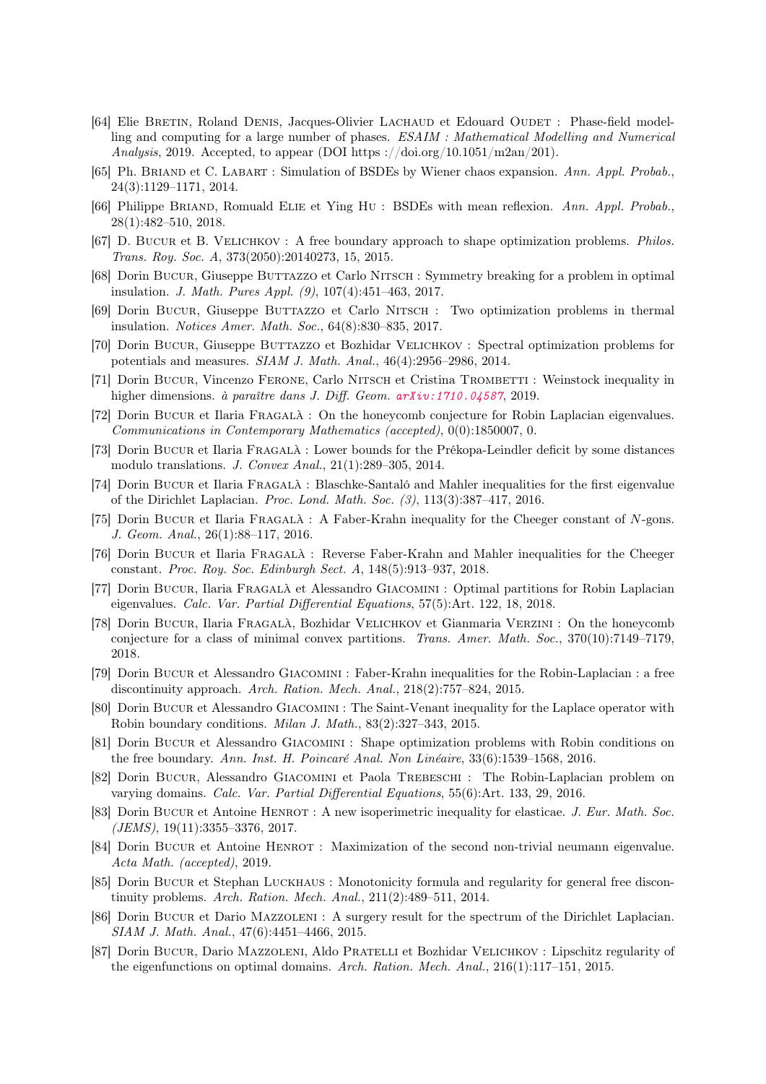- [64] Elie BRETIN, Roland DENIS, Jacques-Olivier LACHAUD et Edouard OUDET : Phase-field modelling and computing for a large number of phases. ESAIM : Mathematical Modelling and Numerical Analysis, 2019. Accepted, to appear (DOI https://doi.org/10.1051/m2an/201).
- [65] Ph. Briand et C. Labart : Simulation of BSDEs by Wiener chaos expansion. Ann. Appl. Probab., 24(3):1129–1171, 2014.
- [66] Philippe BRIAND, Romuald ELIE et Ying Hu : BSDEs with mean reflexion. Ann. Appl. Probab., 28(1):482–510, 2018.
- [67] D. Bucur et B. Velichkov : A free boundary approach to shape optimization problems. Philos. Trans. Roy. Soc. A, 373(2050):20140273, 15, 2015.
- [68] Dorin Bucur, Giuseppe Burrazzo et Carlo NITSCH : Symmetry breaking for a problem in optimal insulation. J. Math. Pures Appl. (9), 107(4):451–463, 2017.
- [69] Dorin Bucur, Giuseppe Buttazzo et Carlo Nitsch : Two optimization problems in thermal insulation. Notices Amer. Math. Soc., 64(8):830–835, 2017.
- [70] Dorin Bucur, Giuseppe Buttazzo et Bozhidar VELICHKOV : Spectral optimization problems for potentials and measures. SIAM J. Math. Anal., 46(4):2956–2986, 2014.
- [71] Dorin BUCUR, Vincenzo FERONE, Carlo NITSCH et Cristina TROMBETTI : Weinstock inequality in higher dimensions. à paraître dans J. Diff. Geom. [arXiv:1710.04587](https://arxiv.org/abs/1710.04587), 2019.
- [72] Dorin Bucur et Ilaria Fragalà : On the honeycomb conjecture for Robin Laplacian eigenvalues. Communications in Contemporary Mathematics (accepted), 0(0):1850007, 0.
- [73] Dorin Bucur et Ilaria Fragalà : Lower bounds for the Prékopa-Leindler deficit by some distances modulo translations. J. Convex Anal., 21(1):289–305, 2014.
- [74] Dorin Bucur et Ilaria Fragalà : Blaschke-Santaló and Mahler inequalities for the first eigenvalue of the Dirichlet Laplacian. Proc. Lond. Math. Soc. (3), 113(3):387–417, 2016.
- [75] Dorin Bucur et Ilaria Fragalà : A Faber-Krahn inequality for the Cheeger constant of N-gons. J. Geom. Anal., 26(1):88–117, 2016.
- [76] Dorin Bucur et Ilaria Fragalà : Reverse Faber-Krahn and Mahler inequalities for the Cheeger constant. Proc. Roy. Soc. Edinburgh Sect. A, 148(5):913–937, 2018.
- [77] Dorin Bucur, Ilaria Fragalà et Alessandro Giacomini : Optimal partitions for Robin Laplacian eigenvalues. Calc. Var. Partial Differential Equations, 57(5):Art. 122, 18, 2018.
- [78] Dorin Bucur, Ilaria Fragalà, Bozhidar Velichkov et Gianmaria Verzini : On the honeycomb conjecture for a class of minimal convex partitions. Trans. Amer. Math. Soc., 370(10):7149–7179, 2018.
- [79] Dorin Bucur et Alessandro Giacomini : Faber-Krahn inequalities for the Robin-Laplacian : a free discontinuity approach. Arch. Ration. Mech. Anal., 218(2):757–824, 2015.
- [80] Dorin Bucur et Alessandro Giacomini : The Saint-Venant inequality for the Laplace operator with Robin boundary conditions. Milan J. Math., 83(2):327–343, 2015.
- [81] Dorin Bucur et Alessandro Giacomini : Shape optimization problems with Robin conditions on the free boundary. Ann. Inst. H. Poincaré Anal. Non Linéaire, 33(6):1539–1568, 2016.
- [82] Dorin Bucur, Alessandro Giacomini et Paola Trebeschi : The Robin-Laplacian problem on varying domains. Calc. Var. Partial Differential Equations, 55(6):Art. 133, 29, 2016.
- [83] Dorin Bucur et Antoine HENROT : A new isoperimetric inequality for elasticae. J. Eur. Math. Soc.  $(JEMS), 19(11):3355-3376, 2017.$
- [84] Dorin BUCUR et Antoine HENROT : Maximization of the second non-trivial neumann eigenvalue. Acta Math. (accepted), 2019.
- [85] Dorin Bucur et Stephan Luckhaus : Monotonicity formula and regularity for general free discontinuity problems. Arch. Ration. Mech. Anal., 211(2):489–511, 2014.
- [86] Dorin Bucur et Dario Mazzoleni : A surgery result for the spectrum of the Dirichlet Laplacian. SIAM J. Math. Anal., 47(6):4451–4466, 2015.
- [87] Dorin Bucur, Dario Mazzoleni, Aldo Pratelli et Bozhidar Velichkov : Lipschitz regularity of the eigenfunctions on optimal domains. Arch. Ration. Mech. Anal., 216(1):117–151, 2015.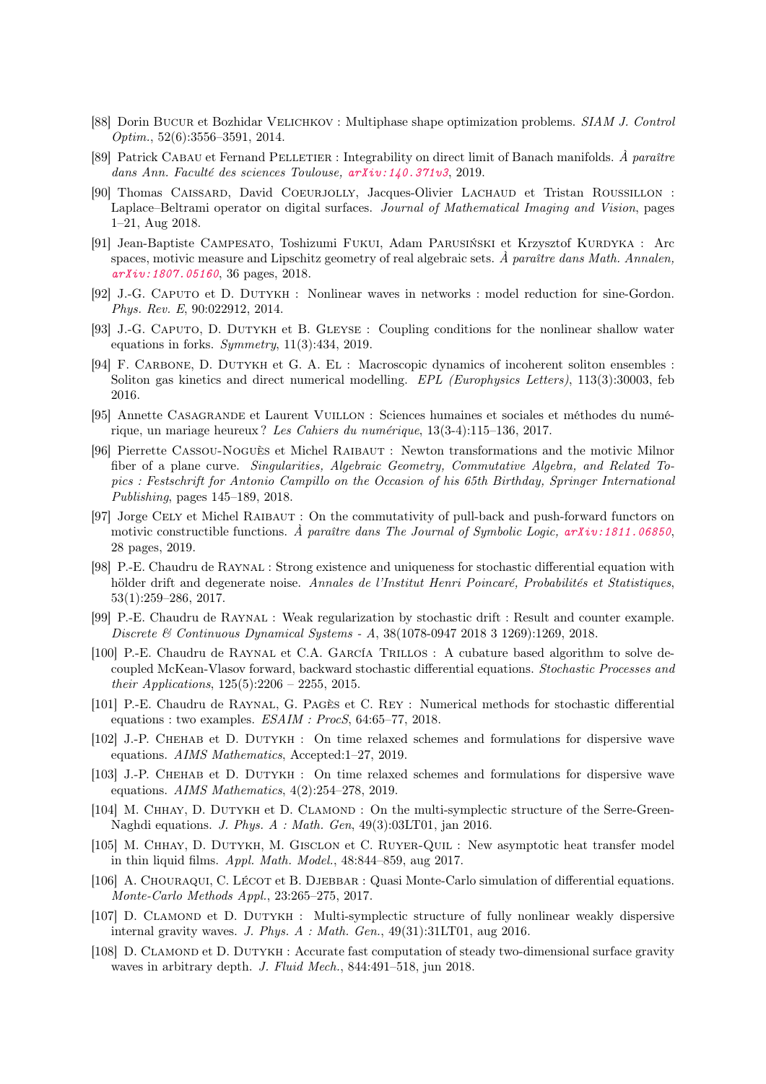- [88] Dorin Bucur et Bozhidar Velichkov : Multiphase shape optimization problems. SIAM J. Control Optim., 52(6):3556–3591, 2014.
- [89] Patrick Cabau et Fernand Pelletier : Integrability on direct limit of Banach manifolds. À paraître dans Ann. Faculté des sciences Toulouse, [arXiv:140.371v3](https://arxiv.org/abs/140.371v3), 2019.
- [90] Thomas Caissard, David Coeurjolly, Jacques-Olivier Lachaud et Tristan Roussillon : Laplace–Beltrami operator on digital surfaces. Journal of Mathematical Imaging and Vision, pages 1–21, Aug 2018.
- [91] Jean-Baptiste Campesato, Toshizumi Fukui, Adam Parusiński et Krzysztof Kurdyka : Arc spaces, motivic measure and Lipschitz geometry of real algebraic sets.  $\hat{A}$  paraître dans Math. Annalen, [arXiv:1807.05160](https://arxiv.org/abs/1807.05160), 36 pages, 2018.
- [92] J.-G. Caputo et D. Dutykh : Nonlinear waves in networks : model reduction for sine-Gordon. Phys. Rev. E, 90:022912, 2014.
- [93] J.-G. Caputo, D. Dutykh et B. Gleyse : Coupling conditions for the nonlinear shallow water equations in forks. Symmetry, 11(3):434, 2019.
- [94] F. Carbone, D. Dutykh et G. A. El : Macroscopic dynamics of incoherent soliton ensembles : Soliton gas kinetics and direct numerical modelling. EPL (Europhysics Letters), 113(3):30003, feb 2016.
- [95] Annette Casagrande et Laurent Vuillon : Sciences humaines et sociales et méthodes du numérique, un mariage heureux ? Les Cahiers du numérique, 13(3-4):115–136, 2017.
- [96] Pierrette Cassou-Noguès et Michel Raibaut : Newton transformations and the motivic Milnor fiber of a plane curve. Singularities, Algebraic Geometry, Commutative Algebra, and Related Topics : Festschrift for Antonio Campillo on the Occasion of his 65th Birthday, Springer International Publishing, pages 145–189, 2018.
- [97] Jorge Cely et Michel Raibaut : On the commutativity of pull-back and push-forward functors on motivic constructible functions. A paraître dans The Journal of Symbolic Logic,  $arXiv:1811.06850$ , 28 pages, 2019.
- [98] P.-E. Chaudru de Raynal : Strong existence and uniqueness for stochastic differential equation with hölder drift and degenerate noise. Annales de l'Institut Henri Poincaré, Probabilités et Statistiques, 53(1):259–286, 2017.
- [99] P.-E. Chaudru de Raynal : Weak regularization by stochastic drift : Result and counter example. Discrete & Continuous Dynamical Systems - A, 38(1078-0947 2018 3 1269):1269, 2018.
- [100] P.-E. Chaudru de Raynal et C.A. García Trillos : A cubature based algorithm to solve decoupled McKean-Vlasov forward, backward stochastic differential equations. Stochastic Processes and their Applications, 125(5):2206 – 2255, 2015.
- [101] P.-E. Chaudru de Raynal, G. Pagès et C. Rey : Numerical methods for stochastic differential equations : two examples. ESAIM : ProcS, 64:65–77, 2018.
- [102] J.-P. Chehab et D. Dutykh : On time relaxed schemes and formulations for dispersive wave equations. AIMS Mathematics, Accepted:1–27, 2019.
- [103] J.-P. Chehab et D. Dutykh : On time relaxed schemes and formulations for dispersive wave equations. AIMS Mathematics,  $4(2):254-278$ , 2019.
- [104] M. CHHAY, D. DUTYKH et D. CLAMOND : On the multi-symplectic structure of the Serre-Green-Naghdi equations. J. Phys. A : Math. Gen, 49(3):03LT01, jan 2016.
- [105] M. CHHAY, D. DUTYKH, M. GISCLON et C. RUYER-QUIL : New asymptotic heat transfer model in thin liquid films. Appl. Math. Model., 48:844–859, aug 2017.
- [106] A. CHOURAQUI, C. LÉCOT et B. DJEBBAR : Quasi Monte-Carlo simulation of differential equations. Monte-Carlo Methods Appl., 23:265–275, 2017.
- [107] D. Clamond et D. Dutykh : Multi-symplectic structure of fully nonlinear weakly dispersive internal gravity waves. J. Phys. A : Math. Gen., 49(31):31LT01, aug 2016.
- [108] D. CLAMOND et D. DUTYKH : Accurate fast computation of steady two-dimensional surface gravity waves in arbitrary depth. *J. Fluid Mech.*, 844:491-518, jun 2018.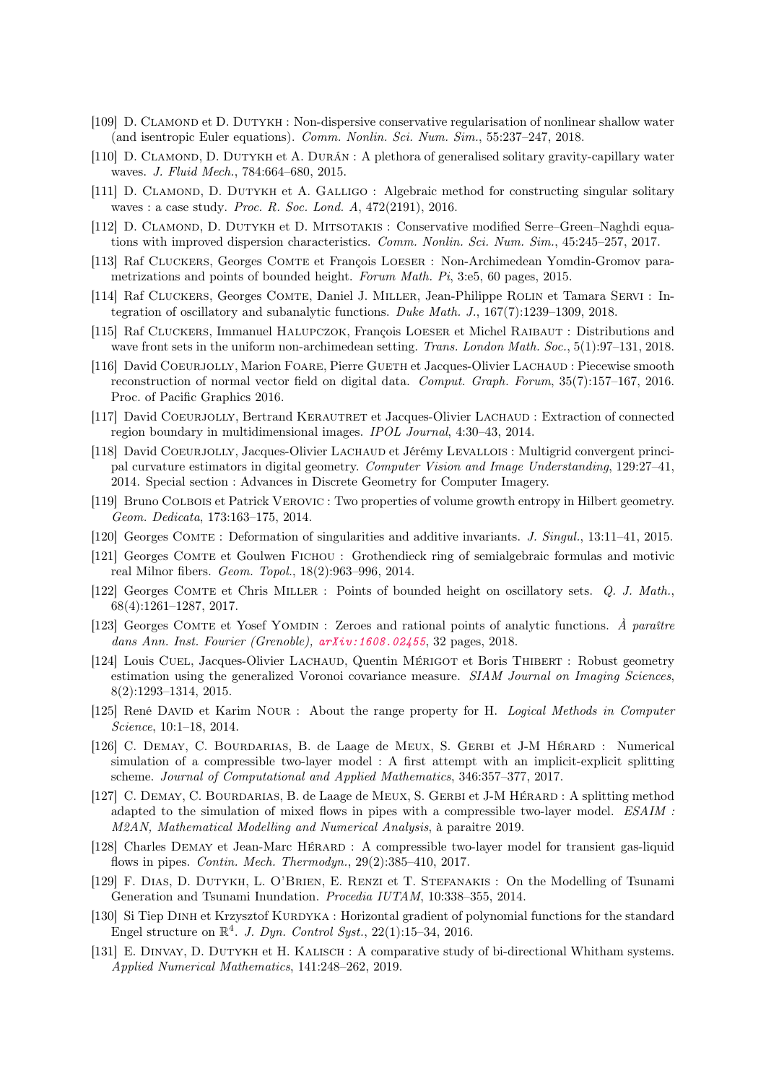- [109] D. Clamond et D. Dutykh : Non-dispersive conservative regularisation of nonlinear shallow water (and isentropic Euler equations). Comm. Nonlin. Sci. Num.  $Sim.$ , 55:237-247, 2018.
- [110] D. CLAMOND, D. DUTYKH et A. DURÁN : A plethora of generalised solitary gravity-capillary water waves. J. Fluid Mech., 784:664–680, 2015.
- [111] D. CLAMOND, D. DUTYKH et A. GALLIGO : Algebraic method for constructing singular solitary waves : a case study. Proc. R. Soc. Lond. A, 472(2191), 2016.
- [112] D. CLAMOND, D. DUTYKH et D. MITSOTAKIS : Conservative modified Serre–Green–Naghdi equations with improved dispersion characteristics. Comm. Nonlin. Sci. Num. Sim., 45:245–257, 2017.
- [113] Raf Cluckers, Georges Comte et François Loeser : Non-Archimedean Yomdin-Gromov parametrizations and points of bounded height. Forum Math. Pi, 3:e5, 60 pages, 2015.
- [114] Raf Cluckers, Georges Comte, Daniel J. Miller, Jean-Philippe Rolin et Tamara Servi : Integration of oscillatory and subanalytic functions. Duke Math. J., 167(7):1239–1309, 2018.
- [115] Raf Cluckers, Immanuel Halupczok, François Loeser et Michel Raibaut : Distributions and wave front sets in the uniform non-archimedean setting. Trans. London Math. Soc., 5(1):97–131, 2018.
- [116] David COEURJOLLY, Marion FOARE, Pierre GUETH et Jacques-Olivier LACHAUD : Piecewise smooth reconstruction of normal vector field on digital data. Comput. Graph. Forum, 35(7):157–167, 2016. Proc. of Pacific Graphics 2016.
- [117] David COEURJOLLY, Bertrand KERAUTRET et Jacques-Olivier LACHAUD : Extraction of connected region boundary in multidimensional images. IPOL Journal, 4:30–43, 2014.
- [118] David Coeurjolly, Jacques-Olivier Lachaud et Jérémy Levallois : Multigrid convergent principal curvature estimators in digital geometry. Computer Vision and Image Understanding, 129:27–41, 2014. Special section : Advances in Discrete Geometry for Computer Imagery.
- [119] Bruno Colbois et Patrick Verovic : Two properties of volume growth entropy in Hilbert geometry. Geom. Dedicata, 173:163–175, 2014.
- [120] Georges Comte : Deformation of singularities and additive invariants. J. Singul., 13:11–41, 2015.
- [121] Georges Comte et Goulwen Fichou : Grothendieck ring of semialgebraic formulas and motivic real Milnor fibers. Geom. Topol., 18(2):963–996, 2014.
- [122] Georges Comte et Chris Miller : Points of bounded height on oscillatory sets. Q. J. Math., 68(4):1261–1287, 2017.
- [123] Georges COMTE et Yosef YOMDIN : Zeroes and rational points of analytic functions. A paraître dans Ann. Inst. Fourier (Grenoble),  $arXiv:1608.02455$ , 32 pages, 2018.
- [124] Louis CUEL, Jacques-Olivier LACHAUD, Quentin MÉRIGOT et Boris THIBERT : Robust geometry estimation using the generalized Voronoi covariance measure. SIAM Journal on Imaging Sciences, 8(2):1293–1314, 2015.
- [125] René David et Karim Nour : About the range property for H. Logical Methods in Computer Science, 10:1–18, 2014.
- [126] C. Demay, C. Bourdarias, B. de Laage de Meux, S. Gerbi et J-M Hérard : Numerical simulation of a compressible two-layer model : A first attempt with an implicit-explicit splitting scheme. Journal of Computational and Applied Mathematics, 346:357–377, 2017.
- [127] C. DEMAY, C. BOURDARIAS, B. de Laage de MEUX, S. GERBI et J-M HÉRARD : A splitting method adapted to the simulation of mixed flows in pipes with a compressible two-layer model. ESAIM : M2AN, Mathematical Modelling and Numerical Analysis, à paraitre 2019.
- [128] Charles Demay et Jean-Marc Hérard : A compressible two-layer model for transient gas-liquid flows in pipes. Contin. Mech. Thermodyn., 29(2):385–410, 2017.
- [129] F. Dias, D. Dutykh, L. O'Brien, E. Renzi et T. Stefanakis : On the Modelling of Tsunami Generation and Tsunami Inundation. Procedia IUTAM, 10:338–355, 2014.
- [130] Si Tiep DINH et Krzysztof KURDYKA : Horizontal gradient of polynomial functions for the standard Engel structure on  $\mathbb{R}^4$ . J. Dyn. Control Syst., 22(1):15-34, 2016.
- [131] E. Dinvay, D. Dutykh et H. Kalisch : A comparative study of bi-directional Whitham systems. Applied Numerical Mathematics, 141:248–262, 2019.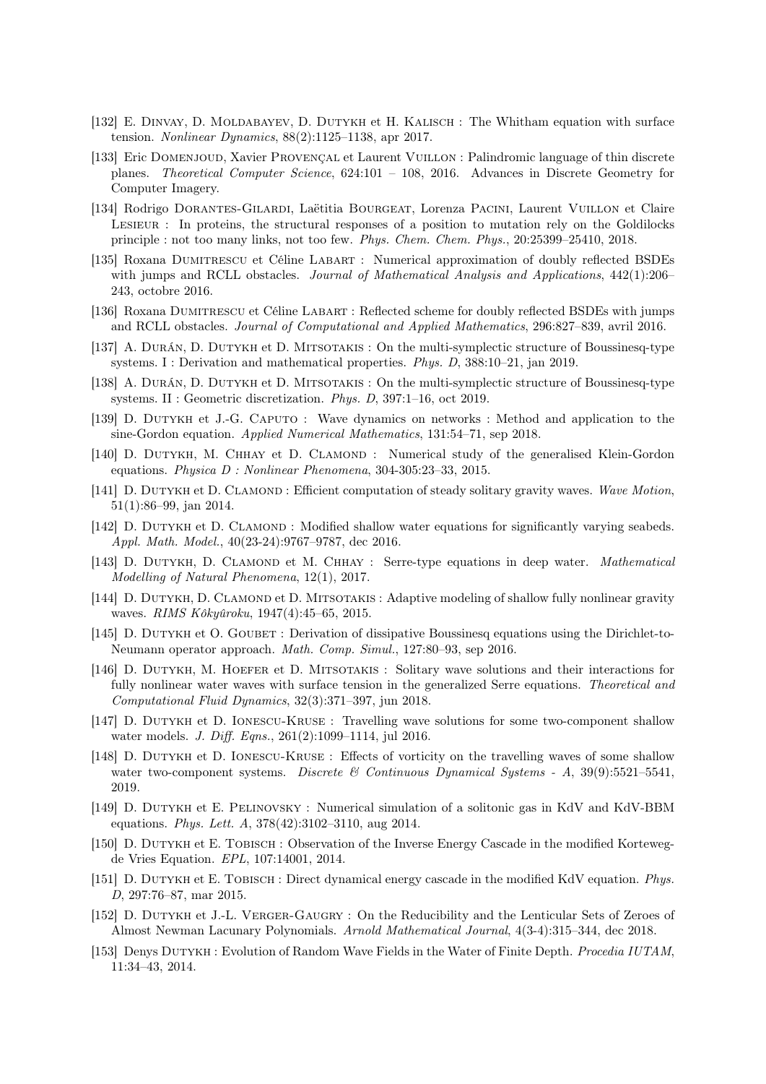- [132] E. Dinvay, D. Moldabayev, D. Dutykh et H. Kalisch : The Whitham equation with surface tension. Nonlinear Dynamics, 88(2):1125–1138, apr 2017.
- [133] Eric Domenjoud, Xavier Provençal et Laurent Vuillon : Palindromic language of thin discrete planes. Theoretical Computer Science, 624:101 – 108, 2016. Advances in Discrete Geometry for Computer Imagery.
- [134] Rodrigo Dorantes-Gilardi, Laëtitia Bourgeat, Lorenza Pacini, Laurent Vuillon et Claire Lesieur : In proteins, the structural responses of a position to mutation rely on the Goldilocks principle : not too many links, not too few. Phys. Chem. Chem. Phys., 20:25399–25410, 2018.
- [135] Roxana Dumitrescu et Céline Labart : Numerical approximation of doubly reflected BSDEs with jumps and RCLL obstacles. Journal of Mathematical Analysis and Applications,  $442(1):206-$ 243, octobre 2016.
- [136] Roxana Dumitrescu et Céline Labart : Reflected scheme for doubly reflected BSDEs with jumps and RCLL obstacles. Journal of Computational and Applied Mathematics, 296:827–839, avril 2016.
- [137] A. Durán, D. Dutykh et D. Mitsotakis : On the multi-symplectic structure of Boussinesq-type systems. I : Derivation and mathematical properties. Phys. D, 388:10–21, jan 2019.
- [138] A. Durán, D. Dutykh et D. Mitsotakis : On the multi-symplectic structure of Boussinesq-type systems. II : Geometric discretization. Phys. D, 397:1–16, oct 2019.
- [139] D. Dutykh et J.-G. Caputo : Wave dynamics on networks : Method and application to the sine-Gordon equation. Applied Numerical Mathematics, 131:54–71, sep 2018.
- [140] D. DUTYKH, M. CHHAY et D. CLAMOND : Numerical study of the generalised Klein-Gordon equations. Physica D : Nonlinear Phenomena, 304-305:23–33, 2015.
- [141] D. DUTYKH et D. CLAMOND : Efficient computation of steady solitary gravity waves. Wave Motion, 51(1):86–99, jan 2014.
- [142] D. DUTYKH et D. CLAMOND : Modified shallow water equations for significantly varying seabeds. Appl. Math. Model., 40(23-24):9767–9787, dec 2016.
- [143] D. DUTYKH, D. CLAMOND et M. CHHAY : Serre-type equations in deep water. *Mathematical* Modelling of Natural Phenomena, 12(1), 2017.
- [144] D. DUTYKH, D. CLAMOND et D. MITSOTAKIS : Adaptive modeling of shallow fully nonlinear gravity waves. RIMS Kôkyûroku, 1947(4):45–65, 2015.
- [145] D. DUTYKH et O. GOUBET : Derivation of dissipative Boussinesq equations using the Dirichlet-to-Neumann operator approach. Math. Comp. Simul., 127:80–93, sep 2016.
- [146] D. Dutykh, M. Hoefer et D. Mitsotakis : Solitary wave solutions and their interactions for fully nonlinear water waves with surface tension in the generalized Serre equations. Theoretical and Computational Fluid Dynamics, 32(3):371–397, jun 2018.
- [147] D. Dutykh et D. Ionescu-Kruse : Travelling wave solutions for some two-component shallow water models. *J. Diff. Eqns.*, 261(2):1099–1114, jul 2016.
- [148] D. Dutykh et D. Ionescu-Kruse : Effects of vorticity on the travelling waves of some shallow water two-component systems. Discrete  $\mathcal{B}$  Continuous Dynamical Systems - A, 39(9):5521–5541, 2019.
- [149] D. Dutykh et E. Pelinovsky : Numerical simulation of a solitonic gas in KdV and KdV-BBM equations. Phys. Lett. A, 378(42):3102–3110, aug 2014.
- [150] D. DUTYKH et E. TOBISCH : Observation of the Inverse Energy Cascade in the modified Kortewegde Vries Equation. EPL, 107:14001, 2014.
- [151] D. DUTYKH et E. TOBISCH : Direct dynamical energy cascade in the modified KdV equation. Phys. D, 297:76–87, mar 2015.
- [152] D. DUTYKH et J.-L. VERGER-GAUGRY : On the Reducibility and the Lenticular Sets of Zeroes of Almost Newman Lacunary Polynomials. Arnold Mathematical Journal, 4(3-4):315–344, dec 2018.
- [153] Denys DUTYKH : Evolution of Random Wave Fields in the Water of Finite Depth. *Procedia IUTAM*, 11:34–43, 2014.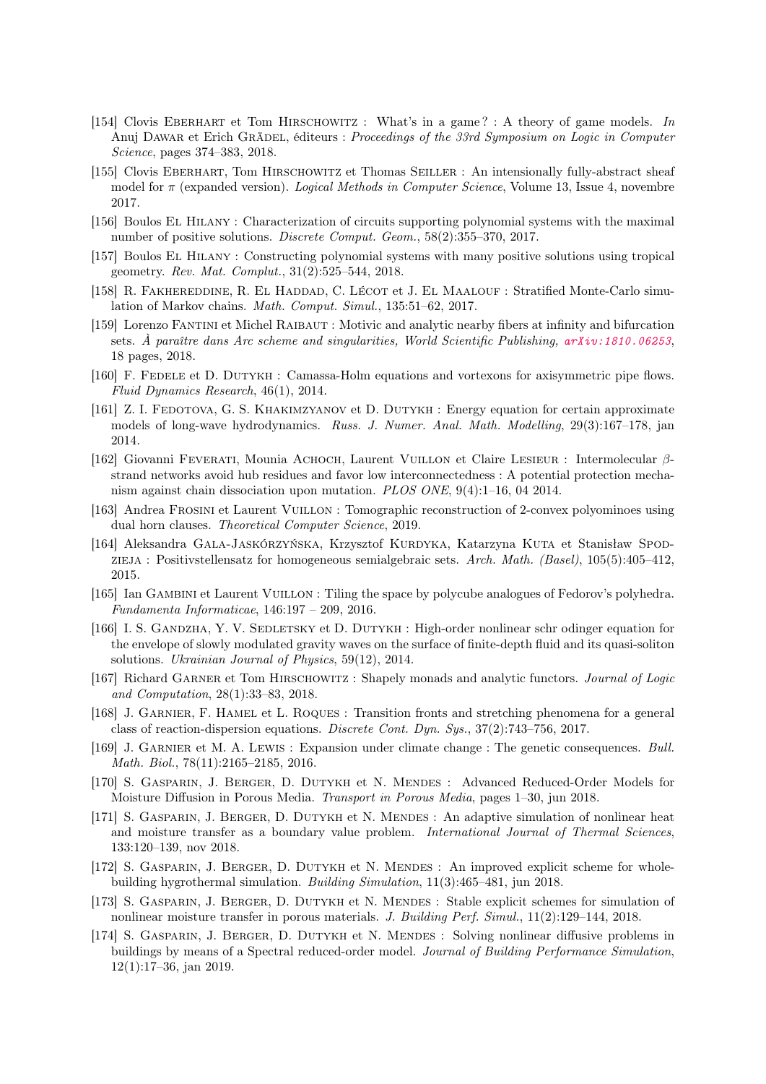- [154] Clovis Eberhart et Tom Hirschowitz : What's in a game ? : A theory of game models. In Anuj DAWAR et Erich GRÄDEL, éditeurs : Proceedings of the 33rd Symposium on Logic in Computer Science, pages 374–383, 2018.
- [155] Clovis Eberhart, Tom Hirschowitz et Thomas Seiller : An intensionally fully-abstract sheaf model for  $\pi$  (expanded version). *Logical Methods in Computer Science*, Volume 13, Issue 4, novembre 2017.
- [156] Boulos El Hilany : Characterization of circuits supporting polynomial systems with the maximal number of positive solutions. Discrete Comput. Geom., 58(2):355–370, 2017.
- [157] Boulos El Hilany : Constructing polynomial systems with many positive solutions using tropical geometry. Rev. Mat. Complut., 31(2):525–544, 2018.
- [158] R. FAKHEREDDINE, R. EL HADDAD, C. LÉCOT et J. EL MAALOUF : Stratified Monte-Carlo simulation of Markov chains. Math. Comput. Simul., 135:51–62, 2017.
- [159] Lorenzo Fantini et Michel Raibaut : Motivic and analytic nearby fibers at infinity and bifurcation sets. À paraître dans Arc scheme and singularities, World Scientific Publishing, [arXiv:1810.06253](https://arxiv.org/abs/1810.06253), 18 pages, 2018.
- [160] F. Fedele et D. Dutykh : Camassa-Holm equations and vortexons for axisymmetric pipe flows. Fluid Dynamics Research, 46(1), 2014.
- [161] Z. I. FEDOTOVA, G. S. KHAKIMZYANOV et D. DUTYKH : Energy equation for certain approximate models of long-wave hydrodynamics. Russ. J. Numer. Anal. Math. Modelling, 29(3):167–178, jan 2014.
- [162] Giovanni Feverati, Mounia Achoch, Laurent Vuillon et Claire Lesieur : Intermolecular βstrand networks avoid hub residues and favor low interconnectedness : A potential protection mechanism against chain dissociation upon mutation. PLOS ONE, 9(4):1–16, 04 2014.
- [163] Andrea Frosini et Laurent Vuillon : Tomographic reconstruction of 2-convex polyominoes using dual horn clauses. Theoretical Computer Science, 2019.
- [164] Aleksandra GALA-JASKÓRZYŃSKA, Krzysztof KURDYKA, Katarzyna KUTA et Stanisław Spodzieja : Positivstellensatz for homogeneous semialgebraic sets. Arch. Math. (Basel), 105(5):405–412, 2015.
- [165] Ian Gambini et Laurent Vuillon : Tiling the space by polycube analogues of Fedorov's polyhedra. Fundamenta Informaticae, 146:197 – 209, 2016.
- [166] I. S. GANDZHA, Y. V. SEDLETSKY et D. DUTYKH : High-order nonlinear schr odinger equation for the envelope of slowly modulated gravity waves on the surface of finite-depth fluid and its quasi-soliton solutions. Ukrainian Journal of Physics, 59(12), 2014.
- [167] Richard GARNER et Tom HIRSCHOWITZ : Shapely monads and analytic functors. *Journal of Logic* and Computation, 28(1):33–83, 2018.
- [168] J. Garnier, F. Hamel et L. Roques : Transition fronts and stretching phenomena for a general class of reaction-dispersion equations. Discrete Cont. Dyn. Sys., 37(2):743–756, 2017.
- [169] J. Garnier et M. A. Lewis : Expansion under climate change : The genetic consequences. Bull. Math. Biol., 78(11):2165–2185, 2016.
- [170] S. Gasparin, J. Berger, D. Dutykh et N. Mendes : Advanced Reduced-Order Models for Moisture Diffusion in Porous Media. Transport in Porous Media, pages 1–30, jun 2018.
- [171] S. Gasparin, J. Berger, D. Dutykh et N. Mendes : An adaptive simulation of nonlinear heat and moisture transfer as a boundary value problem. International Journal of Thermal Sciences, 133:120–139, nov 2018.
- [172] S. GASPARIN, J. BERGER, D. DUTYKH et N. MENDES : An improved explicit scheme for wholebuilding hygrothermal simulation. Building Simulation, 11(3):465–481, jun 2018.
- [173] S. Gasparin, J. Berger, D. Dutykh et N. Mendes : Stable explicit schemes for simulation of nonlinear moisture transfer in porous materials. J. Building Perf. Simul., 11(2):129–144, 2018.
- [174] S. GASPARIN, J. BERGER, D. DUTYKH et N. MENDES : Solving nonlinear diffusive problems in buildings by means of a Spectral reduced-order model. Journal of Building Performance Simulation, 12(1):17–36, jan 2019.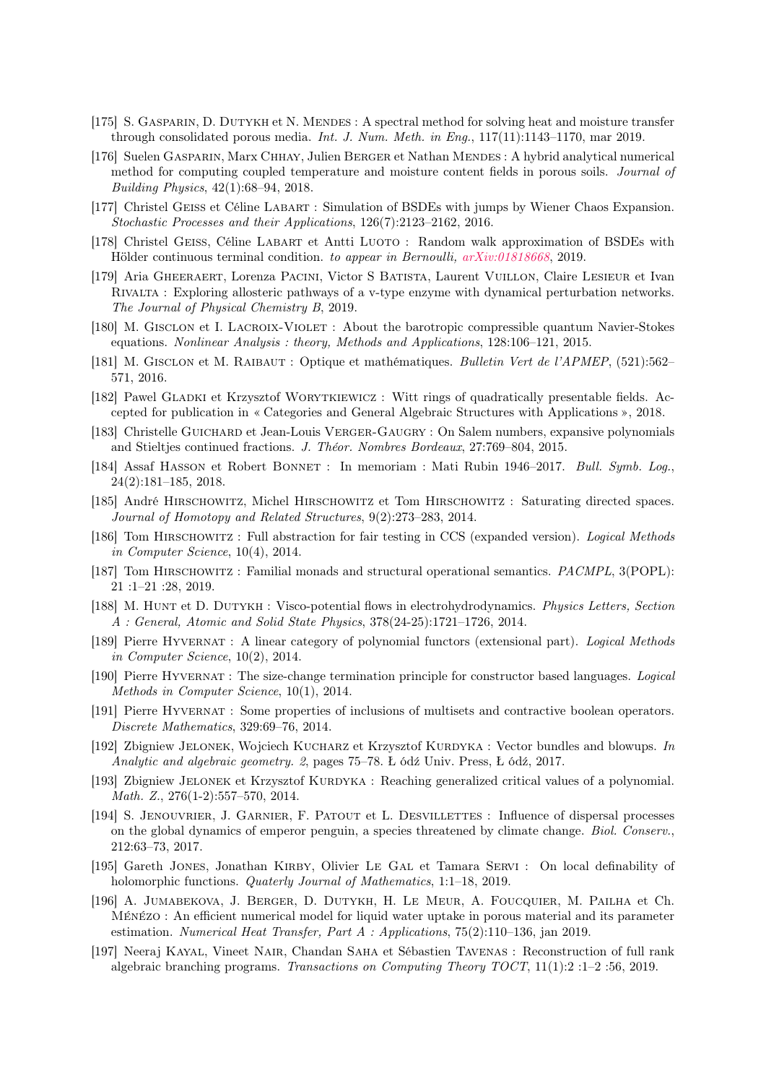- [175] S. Gasparin, D. Dutykh et N. Mendes : A spectral method for solving heat and moisture transfer through consolidated porous media. Int. J. Num. Meth. in Eng., 117(11):1143–1170, mar 2019.
- [176] Suelen Gasparin, Marx Chhay, Julien Berger et Nathan Mendes : A hybrid analytical numerical method for computing coupled temperature and moisture content fields in porous soils. Journal of Building Physics, 42(1):68–94, 2018.
- [177] Christel Geiss et Céline Labart : Simulation of BSDEs with jumps by Wiener Chaos Expansion. Stochastic Processes and their Applications, 126(7):2123–2162, 2016.
- [178] Christel Geiss, Céline Labart et Antti Luoto : Random walk approximation of BSDEs with Hölder continuous terminal condition. to appear in Bernoulli, [arXiv:01818668](https://hal.archives-ouvertes.fr/hal-01818668), 2019.
- [179] Aria Gheeraert, Lorenza Pacini, Victor S Batista, Laurent Vuillon, Claire Lesieur et Ivan Rivalta : Exploring allosteric pathways of a v-type enzyme with dynamical perturbation networks. The Journal of Physical Chemistry B, 2019.
- [180] M. Gisclon et I. Lacroix-Violet : About the barotropic compressible quantum Navier-Stokes equations. Nonlinear Analysis : theory, Methods and Applications, 128:106–121, 2015.
- [181] M. Gisclon et M. Raibaut : Optique et mathématiques. Bulletin Vert de l'APMEP, (521):562– 571, 2016.
- [182] Pawel Gladki et Krzysztof Worytkiewicz : Witt rings of quadratically presentable fields. Accepted for publication in « Categories and General Algebraic Structures with Applications », 2018.
- [183] Christelle Guichard et Jean-Louis Verger-Gaugry : On Salem numbers, expansive polynomials and Stieltjes continued fractions. J. Théor. Nombres Bordeaux, 27:769–804, 2015.
- [184] Assaf Hasson et Robert Bonnet : In memoriam : Mati Rubin 1946–2017. Bull. Symb. Log., 24(2):181–185, 2018.
- [185] André Hirschowitz, Michel Hirschowitz et Tom Hirschowitz : Saturating directed spaces. Journal of Homotopy and Related Structures, 9(2):273–283, 2014.
- [186] Tom Hirschowitz : Full abstraction for fair testing in CCS (expanded version). Logical Methods in Computer Science, 10(4), 2014.
- [187] Tom HIRSCHOWITZ: Familial monads and structural operational semantics. *PACMPL*, 3(POPL): 21 :1–21 :28, 2019.
- [188] M. Hunt et D. Dutykh : Visco-potential flows in electrohydrodynamics. Physics Letters, Section A : General, Atomic and Solid State Physics, 378(24-25):1721–1726, 2014.
- [189] Pierre Hyvernat : A linear category of polynomial functors (extensional part). Logical Methods in Computer Science, 10(2), 2014.
- [190] Pierre Hyvernat : The size-change termination principle for constructor based languages. Logical Methods in Computer Science, 10(1), 2014.
- [191] Pierre Hyvernat : Some properties of inclusions of multisets and contractive boolean operators. Discrete Mathematics, 329:69–76, 2014.
- [192] Zbigniew JELONEK, Wojciech KUCHARZ et Krzysztof KURDYKA : Vector bundles and blowups. In Analytic and algebraic geometry. 2, pages 75–78. Ł ódź Univ. Press, Ł ódź, 2017.
- [193] Zbigniew JELONEK et Krzysztof KURDYKA : Reaching generalized critical values of a polynomial. Math. Z., 276(1-2):557–570, 2014.
- [194] S. Jenouvrier, J. Garnier, F. Patout et L. Desvillettes : Influence of dispersal processes on the global dynamics of emperor penguin, a species threatened by climate change. Biol. Conserv., 212:63–73, 2017.
- [195] Gareth JONES, Jonathan KIRBY, Olivier LE GAL et Tamara SERVI : On local definability of holomorphic functions. *Quaterly Journal of Mathematics*, 1:1–18, 2019.
- [196] A. Jumabekova, J. Berger, D. Dutykh, H. Le Meur, A. Foucquier, M. Pailha et Ch. Ménézo : An efficient numerical model for liquid water uptake in porous material and its parameter estimation. Numerical Heat Transfer, Part A : Applications, 75(2):110–136, jan 2019.
- [197] Neeraj Kayal, Vineet Nair, Chandan Saha et Sébastien Tavenas : Reconstruction of full rank algebraic branching programs. Transactions on Computing Theory TOCT, 11(1):2 :1–2 :56, 2019.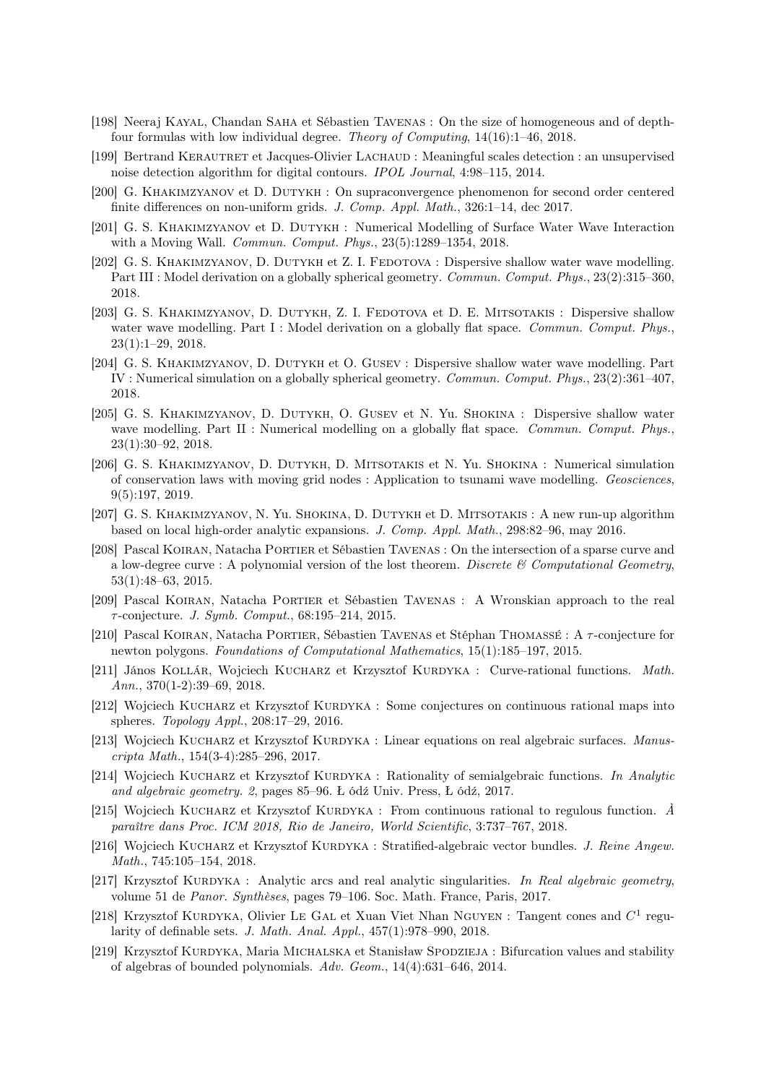- [198] Neeraj Kayal, Chandan Saha et Sébastien Tavenas : On the size of homogeneous and of depthfour formulas with low individual degree. Theory of Computing, 14(16):1–46, 2018.
- [199] Bertrand Kerautret et Jacques-Olivier Lachaud : Meaningful scales detection : an unsupervised noise detection algorithm for digital contours. IPOL Journal, 4:98–115, 2014.
- [200] G. Khakimzyanov et D. Dutykh : On supraconvergence phenomenon for second order centered finite differences on non-uniform grids. J. Comp. Appl. Math., 326:1–14, dec 2017.
- [201] G. S. Khakimzyanov et D. Dutykh : Numerical Modelling of Surface Water Wave Interaction with a Moving Wall. Commun. Comput. Phys., 23(5):1289–1354, 2018.
- [202] G. S. KHAKIMZYANOV, D. DUTYKH et Z. I. FEDOTOVA : Dispersive shallow water wave modelling. Part III : Model derivation on a globally spherical geometry. Commun. Comput. Phys., 23(2):315–360, 2018.
- [203] G. S. KHAKIMZYANOV, D. DUTYKH, Z. I. FEDOTOVA et D. E. MITSOTAKIS : Dispersive shallow water wave modelling. Part I : Model derivation on a globally flat space. Commun. Comput. Phys., 23(1):1–29, 2018.
- [204] G. S. Khakimzyanov, D. Dutykh et O. Gusev : Dispersive shallow water wave modelling. Part IV : Numerical simulation on a globally spherical geometry. Commun. Comput. Phys., 23(2):361–407, 2018.
- [205] G. S. Khakimzyanov, D. Dutykh, O. Gusev et N. Yu. Shokina : Dispersive shallow water wave modelling. Part II : Numerical modelling on a globally flat space. Commun. Comput. Phys., 23(1):30–92, 2018.
- [206] G. S. Khakimzyanov, D. Dutykh, D. Mitsotakis et N. Yu. Shokina : Numerical simulation of conservation laws with moving grid nodes : Application to tsunami wave modelling. Geosciences, 9(5):197, 2019.
- [207] G. S. Khakimzyanov, N. Yu. Shokina, D. Dutykh et D. Mitsotakis : A new run-up algorithm based on local high-order analytic expansions. J. Comp. Appl. Math., 298:82–96, may 2016.
- [208] Pascal Koiran, Natacha Portier et Sébastien Tavenas : On the intersection of a sparse curve and a low-degree curve : A polynomial version of the lost theorem. Discrete  $\mathcal C$  Computational Geometry, 53(1):48–63, 2015.
- [209] Pascal Koiran, Natacha Portier et Sébastien Tavenas : A Wronskian approach to the real  $\tau$ -conjecture. J. Symb. Comput., 68:195–214, 2015.
- [210] Pascal Koiran, Natacha Portier, Sébastien Tavenas et Stéphan Thomassé : A τ -conjecture for newton polygons. Foundations of Computational Mathematics, 15(1):185–197, 2015.
- [211] János Kollár, Wojciech Kucharz et Krzysztof Kurdyka : Curve-rational functions. Math. Ann., 370(1-2):39–69, 2018.
- [212] Wojciech KUCHARZ et Krzysztof KURDYKA : Some conjectures on continuous rational maps into spheres. Topology Appl., 208:17–29, 2016.
- [213] Wojciech KUCHARZ et Krzysztof KURDYKA : Linear equations on real algebraic surfaces. Manuscripta Math., 154(3-4):285–296, 2017.
- [214] Wojciech KUCHARZ et Krzysztof KURDYKA : Rationality of semialgebraic functions. In Analytic and algebraic geometry. 2, pages 85–96. Ł ódź Univ. Press, Ł ódź, 2017.
- [215] Wojciech KUCHARZ et Krzysztof KURDYKA : From continuous rational to regulous function.  $\hat{A}$ paraître dans Proc. ICM 2018, Rio de Janeiro, World Scientific, 3:737–767, 2018.
- [216] Wojciech KUCHARZ et Krzysztof KURDYKA : Stratified-algebraic vector bundles. J. Reine Angew. Math., 745:105–154, 2018.
- [217] Krzysztof KURDYKA : Analytic arcs and real analytic singularities. In Real algebraic geometry, volume 51 de Panor. Synthèses, pages 79–106. Soc. Math. France, Paris, 2017.
- [218] Krzysztof KURDYKA, Olivier LE GAL et Xuan Viet Nhan NGUYEN : Tangent cones and  $C^1$  regularity of definable sets. J. Math. Anal. Appl., 457(1):978–990, 2018.
- [219] Krzysztof KURDYKA, Maria MICHALSKA et Stanisław SPODZIEJA : Bifurcation values and stability of algebras of bounded polynomials. Adv. Geom., 14(4):631–646, 2014.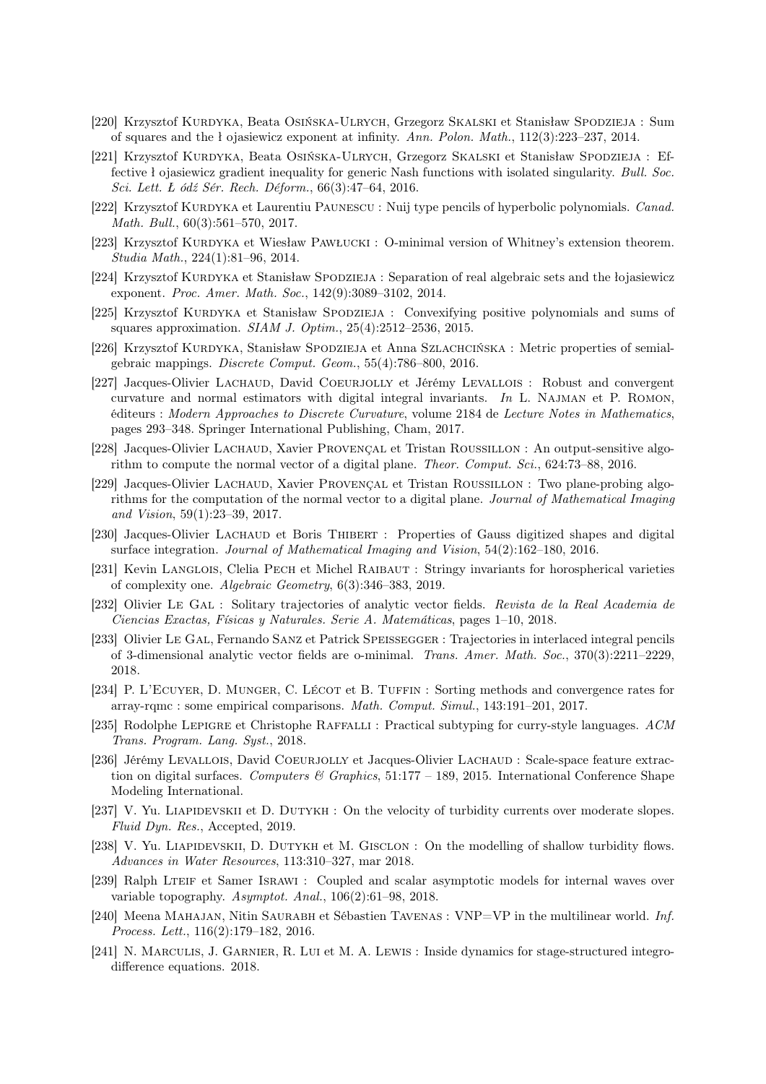- [220] Krzysztof Kurdyka, Beata Osińska-Ulrych, Grzegorz Skalski et Stanisław Spodzieja : Sum of squares and the ł ojasiewicz exponent at infinity. Ann. Polon. Math., 112(3):223–237, 2014.
- [221] Krzysztof Kurdyka, Beata Osińska-Ulrych, Grzegorz Skalski et Stanisław Spodzieja : Effective ł ojasiewicz gradient inequality for generic Nash functions with isolated singularity. Bull. Soc. Sci. Lett. Ł ódź Sér. Rech. Déform., 66(3):47–64, 2016.
- [222] Krzysztof KURDYKA et Laurentiu PAUNESCU : Nuij type pencils of hyperbolic polynomials. Canad. Math. Bull., 60(3):561–570, 2017.
- [223] Krzysztof KURDYKA et Wiesław PAWŁUCKI : O-minimal version of Whitney's extension theorem. Studia Math., 224(1):81–96, 2014.
- [224] Krzysztof KURDYKA et Stanisław Spodzieja : Separation of real algebraic sets and the łojasiewicz exponent. Proc. Amer. Math. Soc., 142(9):3089–3102, 2014.
- [225] Krzysztof KURDYKA et Stanisław SPODZIEJA : Convexifying positive polynomials and sums of squares approximation. *SIAM J. Optim.*,  $25(4):2512-2536$ ,  $2015$ .
- [226] Krzysztof KURDYKA, Stanisław SPODZIEJA et Anna SZLACHCIŃSKA : Metric properties of semialgebraic mappings. Discrete Comput. Geom., 55(4):786–800, 2016.
- [227] Jacques-Olivier Lachaud, David Coeurjolly et Jérémy Levallois : Robust and convergent curvature and normal estimators with digital integral invariants. In L. Najman et P. Romon, éditeurs : Modern Approaches to Discrete Curvature, volume 2184 de Lecture Notes in Mathematics, pages 293–348. Springer International Publishing, Cham, 2017.
- [228] Jacques-Olivier Lachaud, Xavier Provençal et Tristan Roussillon : An output-sensitive algorithm to compute the normal vector of a digital plane. Theor. Comput. Sci., 624:73–88, 2016.
- [229] Jacques-Olivier Lachaud, Xavier Provençal et Tristan Roussillon : Two plane-probing algorithms for the computation of the normal vector to a digital plane. Journal of Mathematical Imaging and Vision, 59(1):23–39, 2017.
- [230] Jacques-Olivier Lachaud et Boris Thibert : Properties of Gauss digitized shapes and digital surface integration. Journal of Mathematical Imaging and Vision, 54(2):162–180, 2016.
- [231] Kevin LANGLOIS, Clelia PECH et Michel RAIBAUT : Stringy invariants for horospherical varieties of complexity one. Algebraic Geometry, 6(3):346–383, 2019.
- [232] Olivier Le Gal : Solitary trajectories of analytic vector fields. Revista de la Real Academia de Ciencias Exactas, Físicas y Naturales. Serie A. Matemáticas, pages 1–10, 2018.
- [233] Olivier Le Gal, Fernando Sanz et Patrick Speissegger : Trajectories in interlaced integral pencils of 3-dimensional analytic vector fields are o-minimal. Trans. Amer. Math. Soc., 370(3):2211–2229, 2018.
- [234] P. L'ECUYER, D. MUNGER, C. LÉCOT et B. TUFFIN : Sorting methods and convergence rates for array-rqmc : some empirical comparisons. Math. Comput. Simul., 143:191–201, 2017.
- [235] Rodolphe LEPIGRE et Christophe RAFFALLI : Practical subtyping for curry-style languages. ACM Trans. Program. Lang. Syst., 2018.
- [236] Jérémy Levallois, David Coeurjolly et Jacques-Olivier Lachaud : Scale-space feature extraction on digital surfaces. Computers & Graphics,  $51:177 - 189$ , 2015. International Conference Shape Modeling International.
- [237] V. Yu. LIAPIDEVSKII et D. DUTYKH : On the velocity of turbidity currents over moderate slopes. Fluid Dyn. Res., Accepted, 2019.
- [238] V. Yu. LIAPIDEVSKII, D. DUTYKH et M. GISCLON : On the modelling of shallow turbidity flows. Advances in Water Resources, 113:310–327, mar 2018.
- [239] Ralph Lteif et Samer Israwi : Coupled and scalar asymptotic models for internal waves over variable topography. Asymptot. Anal., 106(2):61–98, 2018.
- [240] Meena MAHAJAN, Nitin SAURABH et Sébastien TAVENAS : VNP=VP in the multilinear world. Inf. Process. Lett., 116(2):179–182, 2016.
- [241] N. Marculis, J. Garnier, R. Lui et M. A. Lewis : Inside dynamics for stage-structured integrodifference equations. 2018.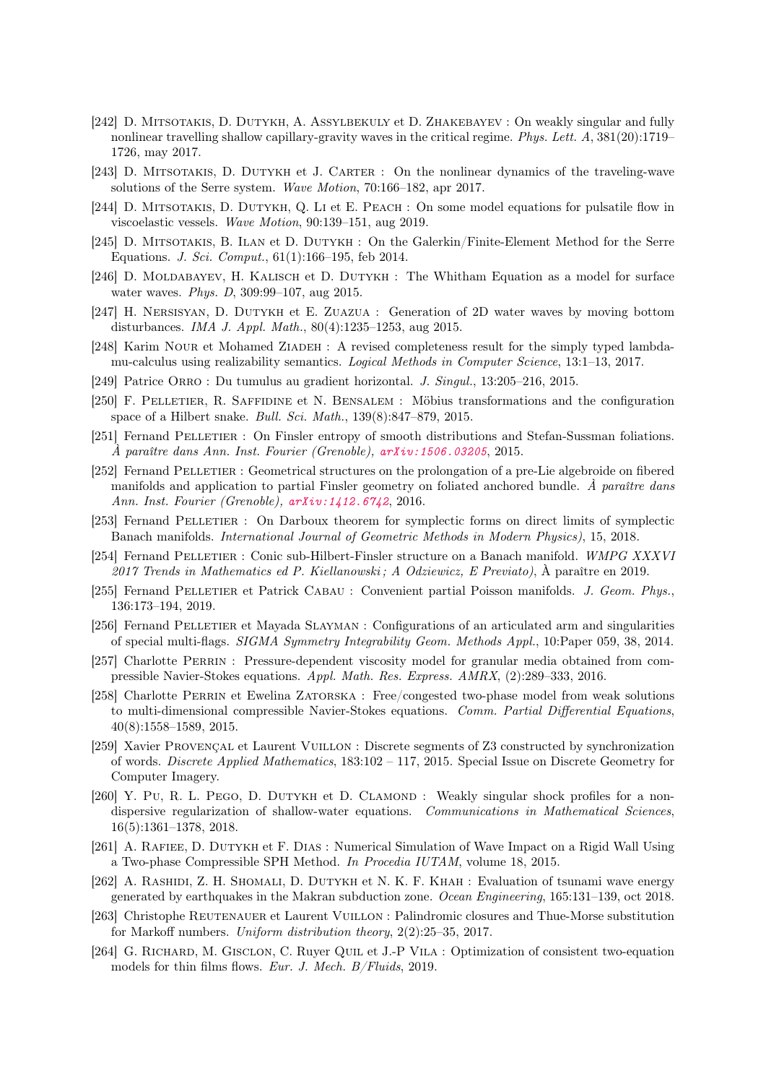- [242] D. MITSOTAKIS, D. DUTYKH, A. ASSYLBEKULY et D. ZHAKEBAYEV : On weakly singular and fully nonlinear travelling shallow capillary-gravity waves in the critical regime. Phys. Lett. A, 381(20):1719– 1726, may 2017.
- [243] D. MITSOTAKIS, D. DUTYKH et J. CARTER : On the nonlinear dynamics of the traveling-wave solutions of the Serre system. Wave Motion, 70:166–182, apr 2017.
- [244] D. MITSOTAKIS, D. DUTYKH, Q. LI et E. PEACH : On some model equations for pulsatile flow in viscoelastic vessels. Wave Motion, 90:139–151, aug 2019.
- [245] D. MITSOTAKIS, B. ILAN et D. DUTYKH : On the Galerkin/Finite-Element Method for the Serre Equations. J. Sci. Comput., 61(1):166–195, feb 2014.
- [246] D. MOLDABAYEV, H. KALISCH et D. DUTYKH : The Whitham Equation as a model for surface water waves. Phys. D, 309:99–107, aug 2015.
- [247] H. Nersisyan, D. Dutykh et E. Zuazua : Generation of 2D water waves by moving bottom disturbances. IMA J. Appl. Math., 80(4):1235–1253, aug 2015.
- [248] Karim NOUR et Mohamed ZIADEH : A revised completeness result for the simply typed lambdamu-calculus using realizability semantics. Logical Methods in Computer Science, 13:1–13, 2017.
- [249] Patrice Orro : Du tumulus au gradient horizontal. J. Singul., 13:205–216, 2015.
- [250] F. Pelletier, R. Saffidine et N. Bensalem : Möbius transformations and the configuration space of a Hilbert snake. Bull. Sci. Math., 139(8):847–879, 2015.
- [251] Fernand Pelletier : On Finsler entropy of smooth distributions and Stefan-Sussman foliations. À paraître dans Ann. Inst. Fourier (Grenoble), [arXiv:1506.03205](https://arxiv.org/abs/1506.03205), 2015.
- [252] Fernand PELLETIER : Geometrical structures on the prolongation of a pre-Lie algebroide on fibered manifolds and application to partial Finsler geometry on foliated anchored bundle.  $\hat{A}$  paraître dans Ann. Inst. Fourier (Grenoble), [arXiv:1412.6742](https://arxiv.org/abs/1412.6742), 2016.
- [253] Fernand Pelletier : On Darboux theorem for symplectic forms on direct limits of symplectic Banach manifolds. International Journal of Geometric Methods in Modern Physics), 15, 2018.
- [254] Fernand PELLETIER : Conic sub-Hilbert-Finsler structure on a Banach manifold. WMPG XXXVI 2017 Trends in Mathematics ed P. Kiellanowski ; A Odziewicz, E Previato), À paraître en 2019.
- [255] Fernand Pelletier et Patrick Cabau : Convenient partial Poisson manifolds. J. Geom. Phys., 136:173–194, 2019.
- [256] Fernand Pelletier et Mayada Slayman : Configurations of an articulated arm and singularities of special multi-flags. SIGMA Symmetry Integrability Geom. Methods Appl., 10:Paper 059, 38, 2014.
- [257] Charlotte Perrin : Pressure-dependent viscosity model for granular media obtained from compressible Navier-Stokes equations. Appl. Math. Res. Express. AMRX, (2):289–333, 2016.
- [258] Charlotte Perrin et Ewelina Zatorska : Free/congested two-phase model from weak solutions to multi-dimensional compressible Navier-Stokes equations. Comm. Partial Differential Equations, 40(8):1558–1589, 2015.
- [259] Xavier Provençal et Laurent Vuillon : Discrete segments of Z3 constructed by synchronization of words. Discrete Applied Mathematics, 183:102 – 117, 2015. Special Issue on Discrete Geometry for Computer Imagery.
- [260] Y. Pu, R. L. PEGO, D. DUTYKH et D. CLAMOND : Weakly singular shock profiles for a nondispersive regularization of shallow-water equations. Communications in Mathematical Sciences, 16(5):1361–1378, 2018.
- [261] A. Rafiee, D. Dutykh et F. Dias : Numerical Simulation of Wave Impact on a Rigid Wall Using a Two-phase Compressible SPH Method. In Procedia IUTAM, volume 18, 2015.
- [262] A. Rashidi, Z. H. Shomali, D. Dutykh et N. K. F. Khah : Evaluation of tsunami wave energy generated by earthquakes in the Makran subduction zone. Ocean Engineering, 165:131–139, oct 2018.
- [263] Christophe Reutenauer et Laurent Vuillon : Palindromic closures and Thue-Morse substitution for Markoff numbers. Uniform distribution theory, 2(2):25–35, 2017.
- [264] G. Richard, M. Gisclon, C. Ruyer Quil et J.-P Vila : Optimization of consistent two-equation models for thin films flows. Eur. J. Mech. B/Fluids, 2019.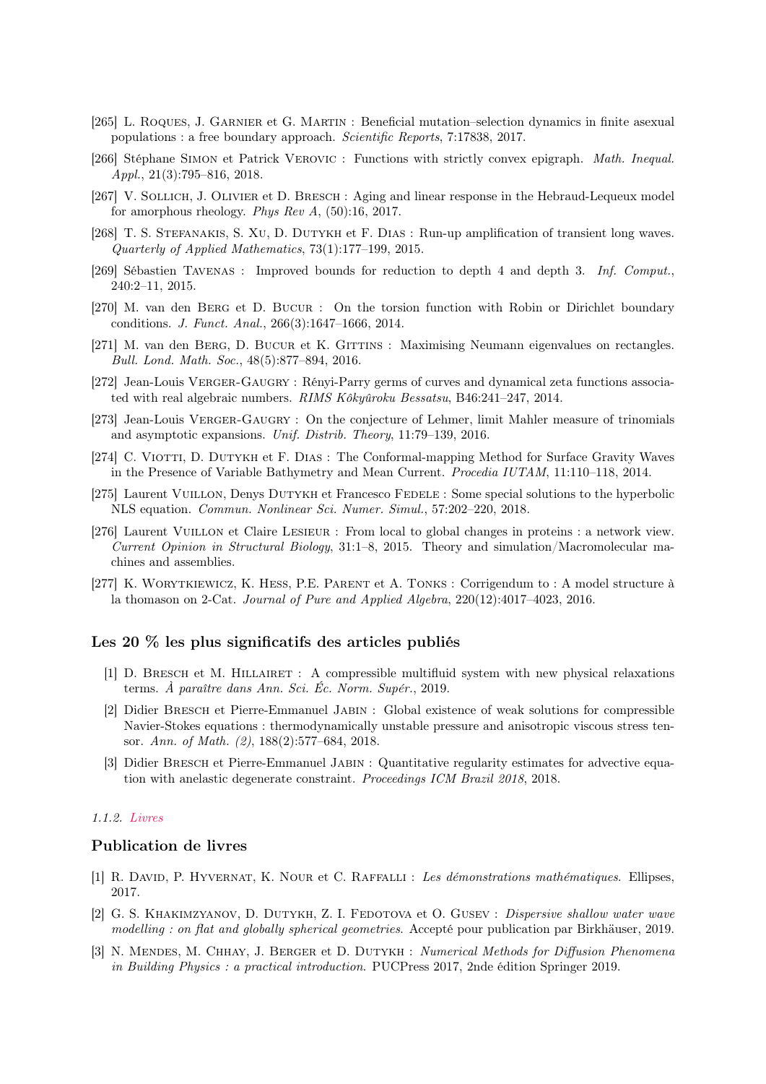- [265] L. Roques, J. Garnier et G. Martin : Beneficial mutation–selection dynamics in finite asexual populations : a free boundary approach. Scientific Reports, 7:17838, 2017.
- [266] Stéphane Simon et Patrick Verovic : Functions with strictly convex epigraph. Math. Inequal. Appl., 21(3):795–816, 2018.
- [267] V. SOLLICH, J. OLIVIER et D. BRESCH : Aging and linear response in the Hebraud-Lequeux model for amorphous rheology. Phys Rev A,  $(50):16$ , 2017.
- [268] T. S. STEFANAKIS, S. XU, D. DUTYKH et F. DIAS : Run-up amplification of transient long waves. Quarterly of Applied Mathematics, 73(1):177–199, 2015.
- [269] Sébastien Tavenas : Improved bounds for reduction to depth 4 and depth 3. Inf. Comput., 240:2–11, 2015.
- [270] M. van den Berg et D. Bucur : On the torsion function with Robin or Dirichlet boundary conditions. J. Funct. Anal., 266(3):1647–1666, 2014.
- [271] M. van den BERG, D. BUCUR et K. GITTINS : Maximising Neumann eigenvalues on rectangles. Bull. Lond. Math. Soc., 48(5):877–894, 2016.
- [272] Jean-Louis Verger-Gaugry : Rényi-Parry germs of curves and dynamical zeta functions associated with real algebraic numbers. RIMS Kôkyûroku Bessatsu, B46:241–247, 2014.
- [273] Jean-Louis VERGER-GAUGRY : On the conjecture of Lehmer, limit Mahler measure of trinomials and asymptotic expansions. Unif. Distrib. Theory, 11:79–139, 2016.
- [274] C. VIOTTI, D. DUTYKH et F. DIAS : The Conformal-mapping Method for Surface Gravity Waves in the Presence of Variable Bathymetry and Mean Current. Procedia IUTAM, 11:110–118, 2014.
- [275] Laurent Vuillon, Denys Dutykh et Francesco Fedele : Some special solutions to the hyperbolic NLS equation. Commun. Nonlinear Sci. Numer. Simul., 57:202–220, 2018.
- [276] Laurent Vuillon et Claire Lesieur : From local to global changes in proteins : a network view. Current Opinion in Structural Biology, 31:1–8, 2015. Theory and simulation/Macromolecular machines and assemblies.
- [277] K. Worytkiewicz, K. Hess, P.E. Parent et A. Tonks : Corrigendum to : A model structure à la thomason on 2-Cat. Journal of Pure and Applied Algebra, 220(12):4017–4023, 2016.

# Les 20 % les plus significatifs des articles publiés

- [1] D. Bresch et M. Hillairet : A compressible multifluid system with new physical relaxations terms. À paraître dans Ann. Sci. Éc. Norm. Supér., 2019.
- [2] Didier Bresch et Pierre-Emmanuel Jabin : Global existence of weak solutions for compressible Navier-Stokes equations : thermodynamically unstable pressure and anisotropic viscous stress tensor. Ann. of Math. (2), 188(2):577–684, 2018.
- [3] Didier Bresch et Pierre-Emmanuel Jabin : Quantitative regularity estimates for advective equation with anelastic degenerate constraint. Proceedings ICM Brazil 2018, 2018.

## 1.1.2. Livres

## Publication de livres

- [1] R. David, P. Hyvernat, K. Nour et C. Raffalli : Les démonstrations mathématiques. Ellipses, 2017.
- [2] G. S. KHAKIMZYANOV, D. DUTYKH, Z. I. FEDOTOVA et O. GUSEV : *Dispersive shallow water wave* modelling : on flat and globally spherical geometries. Accepté pour publication par Birkhäuser, 2019.
- [3] N. Mendes, M. Chhay, J. Berger et D. Dutykh : Numerical Methods for Diffusion Phenomena in Building Physics : a practical introduction. PUCPress 2017, 2nde édition Springer 2019.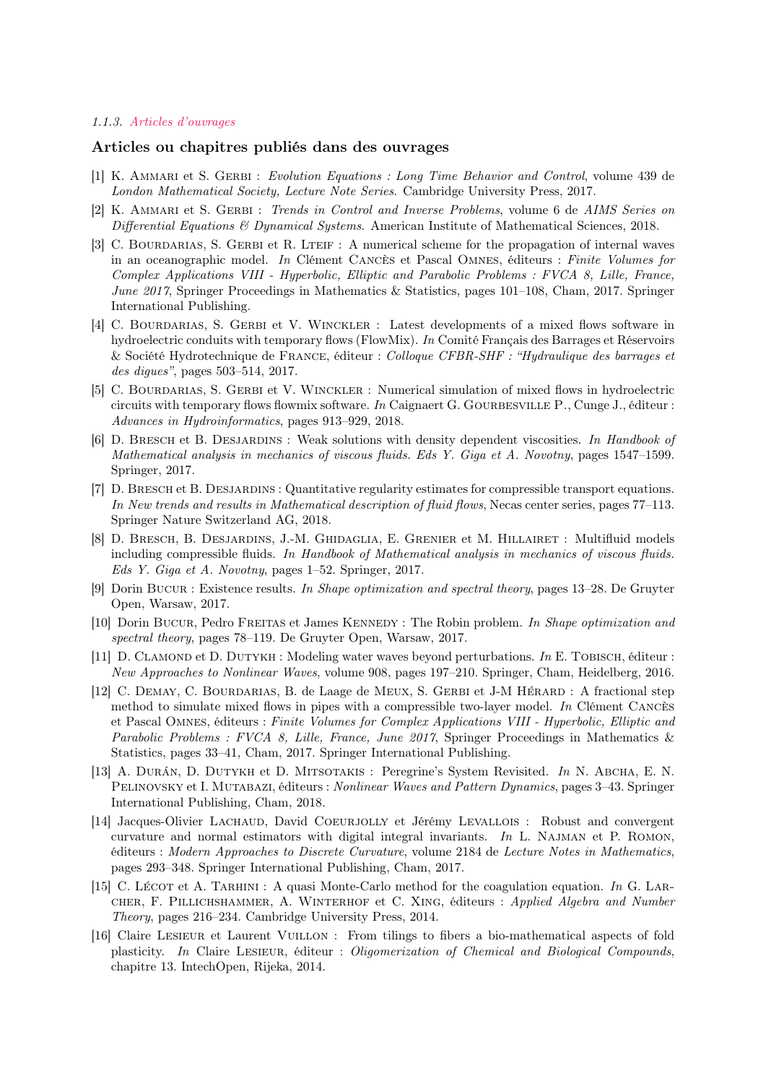#### 1.1.3. Articles d'ouvrages

# Articles ou chapitres publiés dans des ouvrages

- [1] K. AMMARI et S. GERBI : Evolution Equations : Long Time Behavior and Control, volume 439 de London Mathematical Society, Lecture Note Series. Cambridge University Press, 2017.
- [2] K. AMMARI et S. GERBI : Trends in Control and Inverse Problems, volume 6 de AIMS Series on Differential Equations  $\mathcal{B}$  Dynamical Systems. American Institute of Mathematical Sciences, 2018.
- [3] C. BOURDARIAS, S. GERBI et R. LTEIF : A numerical scheme for the propagation of internal waves in an oceanographic model. In Clément Cancès et Pascal Omnes, éditeurs : Finite Volumes for Complex Applications VIII - Hyperbolic, Elliptic and Parabolic Problems : FVCA 8, Lille, France, June 2017, Springer Proceedings in Mathematics & Statistics, pages 101–108, Cham, 2017. Springer International Publishing.
- [4] C. BOURDARIAS, S. GERBI et V. WINCKLER : Latest developments of a mixed flows software in hydroelectric conduits with temporary flows (FlowMix). In Comité Français des Barrages et Réservoirs & Société Hydrotechnique de France, éditeur : Colloque CFBR-SHF : "Hydraulique des barrages et des digues", pages 503–514, 2017.
- [5] C. Bourdarias, S. Gerbi et V. Winckler : Numerical simulation of mixed flows in hydroelectric circuits with temporary flows flowmix software. In Caignaert G. GOURBESVILLE P., Cunge J., éditeur : Advances in Hydroinformatics, pages 913–929, 2018.
- [6] D. Bresch et B. Desjardins : Weak solutions with density dependent viscosities. In Handbook of Mathematical analysis in mechanics of viscous fluids. Eds Y. Giga et A. Novotny, pages 1547–1599. Springer, 2017.
- [7] D. Bresch et B. Desjardins : Quantitative regularity estimates for compressible transport equations. In New trends and results in Mathematical description of fluid flows, Necas center series, pages 77–113. Springer Nature Switzerland AG, 2018.
- [8] D. Bresch, B. Desjardins, J.-M. Ghidaglia, E. Grenier et M. Hillairet : Multifluid models including compressible fluids. In Handbook of Mathematical analysis in mechanics of viscous fluids. Eds Y. Giga et A. Novotny, pages 1–52. Springer, 2017.
- [9] Dorin Bucure: Existence results. In Shape optimization and spectral theory, pages 13–28. De Gruyter Open, Warsaw, 2017.
- [10] Dorin Bucur, Pedro Freitas et James Kennedy : The Robin problem. In Shape optimization and spectral theory, pages 78–119. De Gruyter Open, Warsaw, 2017.
- [11] D. CLAMOND et D. DUTYKH : Modeling water waves beyond perturbations. In E. TOBISCH, éditeur : New Approaches to Nonlinear Waves, volume 908, pages 197–210. Springer, Cham, Heidelberg, 2016.
- [12] C. DEMAY, C. BOURDARIAS, B. de Laage de MEUX, S. GERBI et J-M HÉRARD : A fractional step method to simulate mixed flows in pipes with a compressible two-layer model. In Clément CANCÈS et Pascal Omnes, éditeurs : Finite Volumes for Complex Applications VIII - Hyperbolic, Elliptic and Parabolic Problems : FVCA 8, Lille, France, June 2017, Springer Proceedings in Mathematics & Statistics, pages 33–41, Cham, 2017. Springer International Publishing.
- [13] A. DURÁN, D. DUTYKH et D. MITSOTAKIS : Peregrine's System Revisited. In N. ABCHA, E. N. PELINOVSKY et I. MUTABAZI, éditeurs : Nonlinear Waves and Pattern Dynamics, pages 3–43. Springer International Publishing, Cham, 2018.
- [14] Jacques-Olivier LACHAUD, David COEURJOLLY et Jérémy LEVALLOIS : Robust and convergent curvature and normal estimators with digital integral invariants. In L. Najman et P. Romon, éditeurs : Modern Approaches to Discrete Curvature, volume 2184 de Lecture Notes in Mathematics, pages 293–348. Springer International Publishing, Cham, 2017.
- [15] C. Lécot et A. Tarkhini : A quasi Monte-Carlo method for the coagulation equation. In G. Larcher, F. Pillichshammer, A. Winterhof et C. Xing, éditeurs : Applied Algebra and Number Theory, pages 216–234. Cambridge University Press, 2014.
- [16] Claire Lesieur et Laurent Vuillon : From tilings to fibers a bio-mathematical aspects of fold plasticity. In Claire LESIEUR, éditeur : Oligomerization of Chemical and Biological Compounds, chapitre 13. IntechOpen, Rijeka, 2014.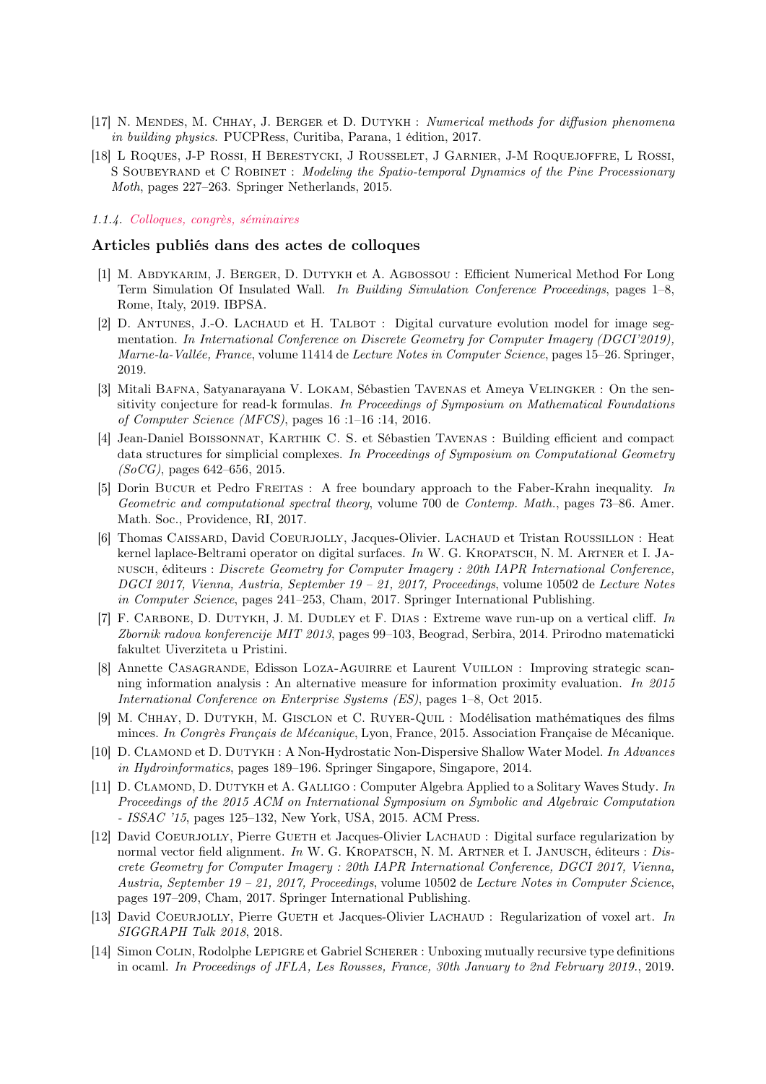- [17] N. MENDES, M. CHHAY, J. BERGER et D. DUTYKH : Numerical methods for diffusion phenomena in building physics. PUCPRess, Curitiba, Parana, 1 édition, 2017.
- [18] L Roques, J-P Rossi, H Berestycki, J Rousselet, J Garnier, J-M Roquejoffre, L Rossi, S SOUBEYRAND et C ROBINET : Modeling the Spatio-temporal Dynamics of the Pine Processionary Moth, pages 227–263. Springer Netherlands, 2015.

## 1.1.4. Colloques, congrès, séminaires

#### Articles publiés dans des actes de colloques

- [1] M. Abdykarim, J. Berger, D. Dutykh et A. Agbossou : Efficient Numerical Method For Long Term Simulation Of Insulated Wall. In Building Simulation Conference Proceedings, pages 1–8, Rome, Italy, 2019. IBPSA.
- [2] D. ANTUNES, J.-O. LACHAUD et H. TALBOT : Digital curvature evolution model for image segmentation. In International Conference on Discrete Geometry for Computer Imagery (DGCI'2019), Marne-la-Vallée, France, volume 11414 de Lecture Notes in Computer Science, pages 15–26. Springer, 2019.
- [3] Mitali BAFNA, Satyanarayana V. LOKAM, Sébastien TAVENAS et Ameya VELINGKER : On the sensitivity conjecture for read-k formulas. In Proceedings of Symposium on Mathematical Foundations of Computer Science (MFCS), pages 16 :1–16 :14, 2016.
- [4] Jean-Daniel Boissonnat, Karthik C. S. et Sébastien Tavenas : Building efficient and compact data structures for simplicial complexes. In Proceedings of Symposium on Computational Geometry  $(SoCG)$ , pages 642–656, 2015.
- [5] Dorin Bucur et Pedro Freitas : A free boundary approach to the Faber-Krahn inequality. In Geometric and computational spectral theory, volume 700 de Contemp. Math., pages 73–86. Amer. Math. Soc., Providence, RI, 2017.
- [6] Thomas Caissard, David Coeurjolly, Jacques-Olivier. Lachaud et Tristan Roussillon : Heat kernel laplace-Beltrami operator on digital surfaces. In W. G. KROPATSCH, N. M. ARTNER et I. JAnusch, éditeurs : Discrete Geometry for Computer Imagery : 20th IAPR International Conference, DGCI 2017, Vienna, Austria, September 19 – 21, 2017, Proceedings, volume 10502 de Lecture Notes in Computer Science, pages 241–253, Cham, 2017. Springer International Publishing.
- [7] F. Carbone, D. Dutykh, J. M. Dudley et F. Dias : Extreme wave run-up on a vertical cliff. In Zbornik radova konferencije MIT 2013, pages 99–103, Beograd, Serbira, 2014. Prirodno matematicki fakultet Uiverziteta u Pristini.
- [8] Annette CASAGRANDE, Edisson LOZA-AGUIRRE et Laurent VUILLON : Improving strategic scanning information analysis : An alternative measure for information proximity evaluation. In 2015 International Conference on Enterprise Systems (ES), pages 1–8, Oct 2015.
- [9] M. Chhay, D. Dutykh, M. Gisclon et C. Ruyer-Quil : Modélisation mathématiques des films minces. In Congrès Français de Mécanique, Lyon, France, 2015. Association Française de Mécanique.
- [10] D. CLAMOND et D. DUTYKH : A Non-Hydrostatic Non-Dispersive Shallow Water Model. In Advances in Hydroinformatics, pages 189–196. Springer Singapore, Singapore, 2014.
- [11] D. CLAMOND, D. DUTYKH et A. GALLIGO : Computer Algebra Applied to a Solitary Waves Study. In Proceedings of the 2015 ACM on International Symposium on Symbolic and Algebraic Computation - ISSAC '15, pages 125–132, New York, USA, 2015. ACM Press.
- [12] David COEURJOLLY, Pierre GUETH et Jacques-Olivier LACHAUD : Digital surface regularization by normal vector field alignment. In W. G. KROPATSCH, N. M. ARTNER et I. JANUSCH, éditeurs : Discrete Geometry for Computer Imagery : 20th IAPR International Conference, DGCI 2017, Vienna, Austria, September 19 – 21, 2017, Proceedings, volume 10502 de Lecture Notes in Computer Science, pages 197–209, Cham, 2017. Springer International Publishing.
- [13] David COEURJOLLY, Pierre GUETH et Jacques-Olivier LACHAUD : Regularization of voxel art. In SIGGRAPH Talk 2018, 2018.
- [14] Simon Colin, Rodolphe Lepigre et Gabriel Scherer : Unboxing mutually recursive type definitions in ocaml. In Proceedings of JFLA, Les Rousses, France, 30th January to 2nd February 2019., 2019.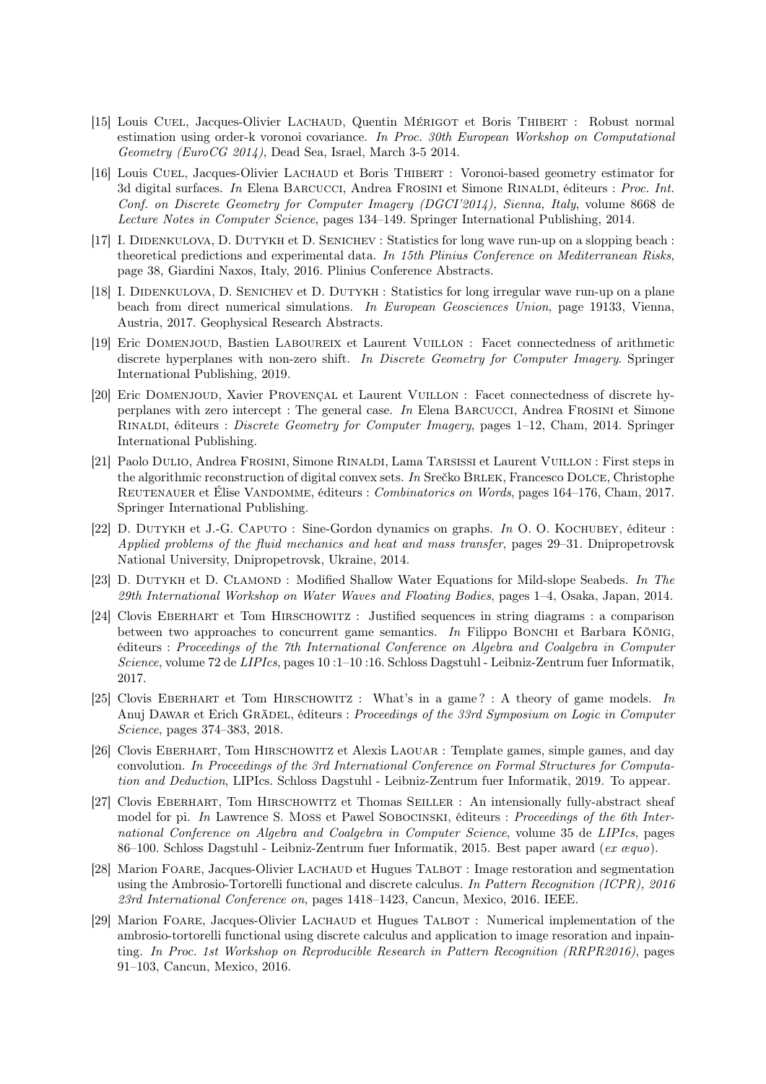- [15] Louis Cuel, Jacques-Olivier Lachaud, Quentin Mérigot et Boris Thibert : Robust normal estimation using order-k voronoi covariance. In Proc. 30th European Workshop on Computational Geometry (EuroCG 2014), Dead Sea, Israel, March 3-5 2014.
- [16] Louis Cuel, Jacques-Olivier Lachaud et Boris Thibert : Voronoi-based geometry estimator for 3d digital surfaces. In Elena Barcucci, Andrea Frosini et Simone Rinaldi, éditeurs : Proc. Int. Conf. on Discrete Geometry for Computer Imagery (DGCI'2014), Sienna, Italy, volume 8668 de Lecture Notes in Computer Science, pages 134–149. Springer International Publishing, 2014.
- [17] I. Didenkulova, D. Dutykh et D. Senichev : Statistics for long wave run-up on a slopping beach : theoretical predictions and experimental data. In 15th Plinius Conference on Mediterranean Risks, page 38, Giardini Naxos, Italy, 2016. Plinius Conference Abstracts.
- [18] I. Didenkulova, D. Senichev et D. Dutykh : Statistics for long irregular wave run-up on a plane beach from direct numerical simulations. In European Geosciences Union, page 19133, Vienna, Austria, 2017. Geophysical Research Abstracts.
- [19] Eric Domenjoud, Bastien Laboureix et Laurent Vuillon : Facet connectedness of arithmetic discrete hyperplanes with non-zero shift. In Discrete Geometry for Computer Imagery. Springer International Publishing, 2019.
- [20] Eric Domenjoud, Xavier Provençal et Laurent Vuillon : Facet connectedness of discrete hyperplanes with zero intercept : The general case. In Elena Barcucci, Andrea Frosini et Simone Rinaldi, éditeurs : Discrete Geometry for Computer Imagery, pages 1–12, Cham, 2014. Springer International Publishing.
- [21] Paolo Dulio, Andrea Frosini, Simone Rinaldi, Lama Tarsissi et Laurent Vuillon : First steps in the algorithmic reconstruction of digital convex sets. In Srečko BRLEK, Francesco DOLCE, Christophe REUTENAUER et Élise VANDOMME, éditeurs : Combinatorics on Words, pages 164–176, Cham, 2017. Springer International Publishing.
- [22] D. Dutykh et J.-G. Caputo : Sine-Gordon dynamics on graphs. In O. O. Kochubey, éditeur : Applied problems of the fluid mechanics and heat and mass transfer, pages 29–31. Dnipropetrovsk National University, Dnipropetrovsk, Ukraine, 2014.
- [23] D. DUTYKH et D. CLAMOND : Modified Shallow Water Equations for Mild-slope Seabeds. In The 29th International Workshop on Water Waves and Floating Bodies, pages 1–4, Osaka, Japan, 2014.
- [24] Clovis Eberhart et Tom Hirschowitz : Justified sequences in string diagrams : a comparison between two approaches to concurrent game semantics. In Filippo BONCHI et Barbara KÖNIG, éditeurs : Proceedings of the 7th International Conference on Algebra and Coalgebra in Computer Science, volume 72 de LIPIcs, pages 10 :1–10 :16. Schloss Dagstuhl - Leibniz-Zentrum fuer Informatik, 2017.
- [25] Clovis EBERHART et Tom HIRSCHOWITZ : What's in a game? : A theory of game models. In Anuj DAWAR et Erich GRÄDEL, éditeurs : Proceedings of the 33rd Symposium on Logic in Computer Science, pages 374–383, 2018.
- [26] Clovis Eberhart, Tom Hirschowitz et Alexis Laouar : Template games, simple games, and day convolution. In Proceedings of the 3rd International Conference on Formal Structures for Computation and Deduction, LIPIcs. Schloss Dagstuhl - Leibniz-Zentrum fuer Informatik, 2019. To appear.
- [27] Clovis Eberhart, Tom Hirschowitz et Thomas Seiller : An intensionally fully-abstract sheaf model for pi. In Lawrence S. Moss et Pawel Sobocinski, éditeurs : Proceedings of the 6th International Conference on Algebra and Coalgebra in Computer Science, volume 35 de LIPIcs, pages 86–100. Schloss Dagstuhl - Leibniz-Zentrum fuer Informatik, 2015. Best paper award (ex  $xqu$ o).
- [28] Marion Foare, Jacques-Olivier Lachaud et Hugues Talbot : Image restoration and segmentation using the Ambrosio-Tortorelli functional and discrete calculus. In Pattern Recognition (ICPR), 2016 23rd International Conference on, pages 1418–1423, Cancun, Mexico, 2016. IEEE.
- [29] Marion FOARE, Jacques-Olivier LACHAUD et Hugues TALBOT : Numerical implementation of the ambrosio-tortorelli functional using discrete calculus and application to image resoration and inpainting. In Proc. 1st Workshop on Reproducible Research in Pattern Recognition (RRPR2016), pages 91–103, Cancun, Mexico, 2016.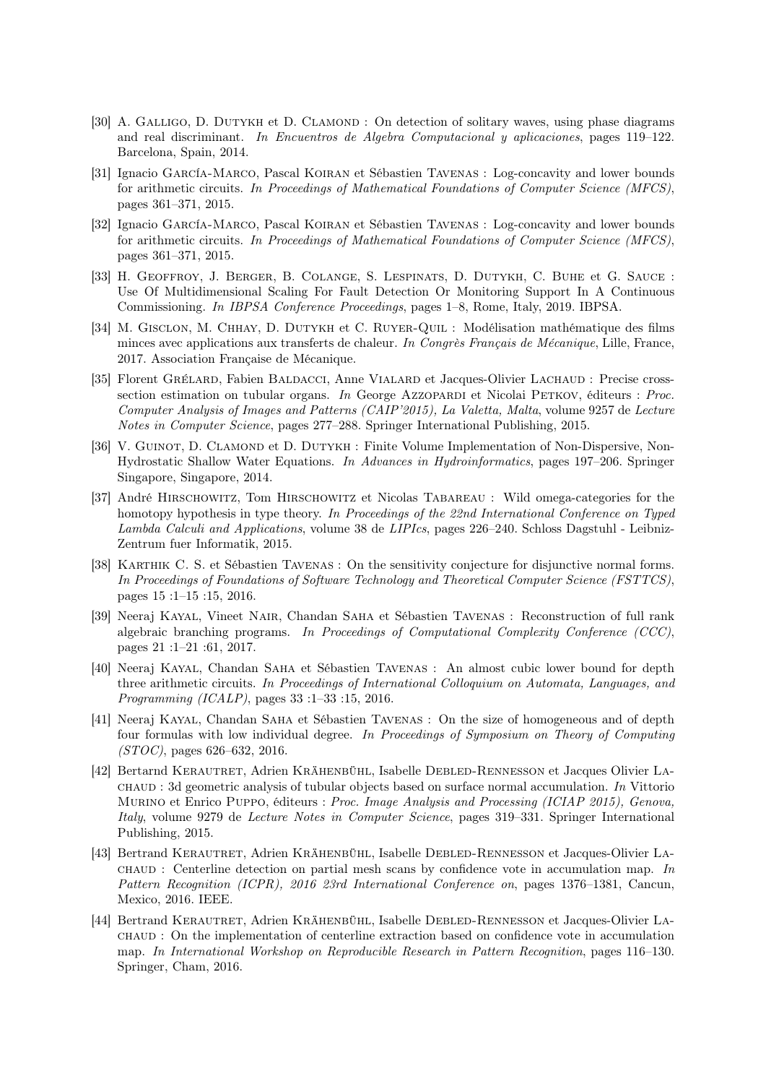- [30] A. GALLIGO, D. DUTYKH et D. CLAMOND : On detection of solitary waves, using phase diagrams and real discriminant. In Encuentros de Algebra Computacional y aplicaciones, pages 119–122. Barcelona, Spain, 2014.
- [31] Ignacio García-Marco, Pascal Koiran et Sébastien Tavenas : Log-concavity and lower bounds for arithmetic circuits. In Proceedings of Mathematical Foundations of Computer Science (MFCS), pages 361–371, 2015.
- [32] Ignacio García-Marco, Pascal Koiran et Sébastien Tavenas : Log-concavity and lower bounds for arithmetic circuits. In Proceedings of Mathematical Foundations of Computer Science (MFCS), pages 361–371, 2015.
- [33] H. Geoffroy, J. Berger, B. Colange, S. Lespinats, D. Dutykh, C. Buhe et G. Sauce : Use Of Multidimensional Scaling For Fault Detection Or Monitoring Support In A Continuous Commissioning. In IBPSA Conference Proceedings, pages 1–8, Rome, Italy, 2019. IBPSA.
- [34] M. Gisclon, M. Chhay, D. Dutykh et C. Ruyer-Quil : Modélisation mathématique des films minces avec applications aux transferts de chaleur. In Congrès Français de Mécanique, Lille, France, 2017. Association Française de Mécanique.
- [35] Florent Grélard, Fabien Baldacci, Anne Vialard et Jacques-Olivier Lachaud : Precise crosssection estimation on tubular organs. In George Azzopardi et Nicolai Petkov, éditeurs : Proc. Computer Analysis of Images and Patterns (CAIP'2015), La Valetta, Malta, volume 9257 de Lecture Notes in Computer Science, pages 277–288. Springer International Publishing, 2015.
- [36] V. GUINOT, D. CLAMOND et D. DUTYKH : Finite Volume Implementation of Non-Dispersive, Non-Hydrostatic Shallow Water Equations. In Advances in Hydroinformatics, pages 197–206. Springer Singapore, Singapore, 2014.
- [37] André Hirschowitz, Tom Hirschowitz et Nicolas Tabareau : Wild omega-categories for the homotopy hypothesis in type theory. In Proceedings of the 22nd International Conference on Typed Lambda Calculi and Applications, volume 38 de LIPIcs, pages 226–240. Schloss Dagstuhl - Leibniz-Zentrum fuer Informatik, 2015.
- [38] Karthik C. S. et Sébastien Tavenas : On the sensitivity conjecture for disjunctive normal forms. In Proceedings of Foundations of Software Technology and Theoretical Computer Science (FSTTCS), pages 15 :1–15 :15, 2016.
- [39] Neeraj Kayal, Vineet Nair, Chandan Saha et Sébastien Tavenas : Reconstruction of full rank algebraic branching programs. In Proceedings of Computational Complexity Conference (CCC), pages 21 :1–21 :61, 2017.
- [40] Neeraj Kayal, Chandan Saha et Sébastien Tavenas : An almost cubic lower bound for depth three arithmetic circuits. In Proceedings of International Colloquium on Automata, Languages, and Programming (ICALP), pages 33 :1–33 :15, 2016.
- [41] Neeraj Kayal, Chandan Saha et Sébastien Tavenas : On the size of homogeneous and of depth four formulas with low individual degree. In Proceedings of Symposium on Theory of Computing (STOC), pages 626–632, 2016.
- [42] Bertarnd Kerautret, Adrien Krähenbühl, Isabelle Debled-Rennesson et Jacques Olivier Lachaud : 3d geometric analysis of tubular objects based on surface normal accumulation. In Vittorio MURINO et Enrico PUPPO, éditeurs : Proc. Image Analysis and Processing (ICIAP 2015), Genova, Italy, volume 9279 de Lecture Notes in Computer Science, pages 319–331. Springer International Publishing, 2015.
- [43] Bertrand Kerautret, Adrien Krähenbühl, Isabelle Debled-Rennesson et Jacques-Olivier La- $CHAUD$ : Centerline detection on partial mesh scans by confidence vote in accumulation map. In Pattern Recognition (ICPR), 2016 23rd International Conference on, pages 1376–1381, Cancun, Mexico, 2016. IEEE.
- [44] Bertrand Kerautret, Adrien Krähenbühl, Isabelle Debled-Rennesson et Jacques-Olivier Lachaud : On the implementation of centerline extraction based on confidence vote in accumulation map. In International Workshop on Reproducible Research in Pattern Recognition, pages 116–130. Springer, Cham, 2016.